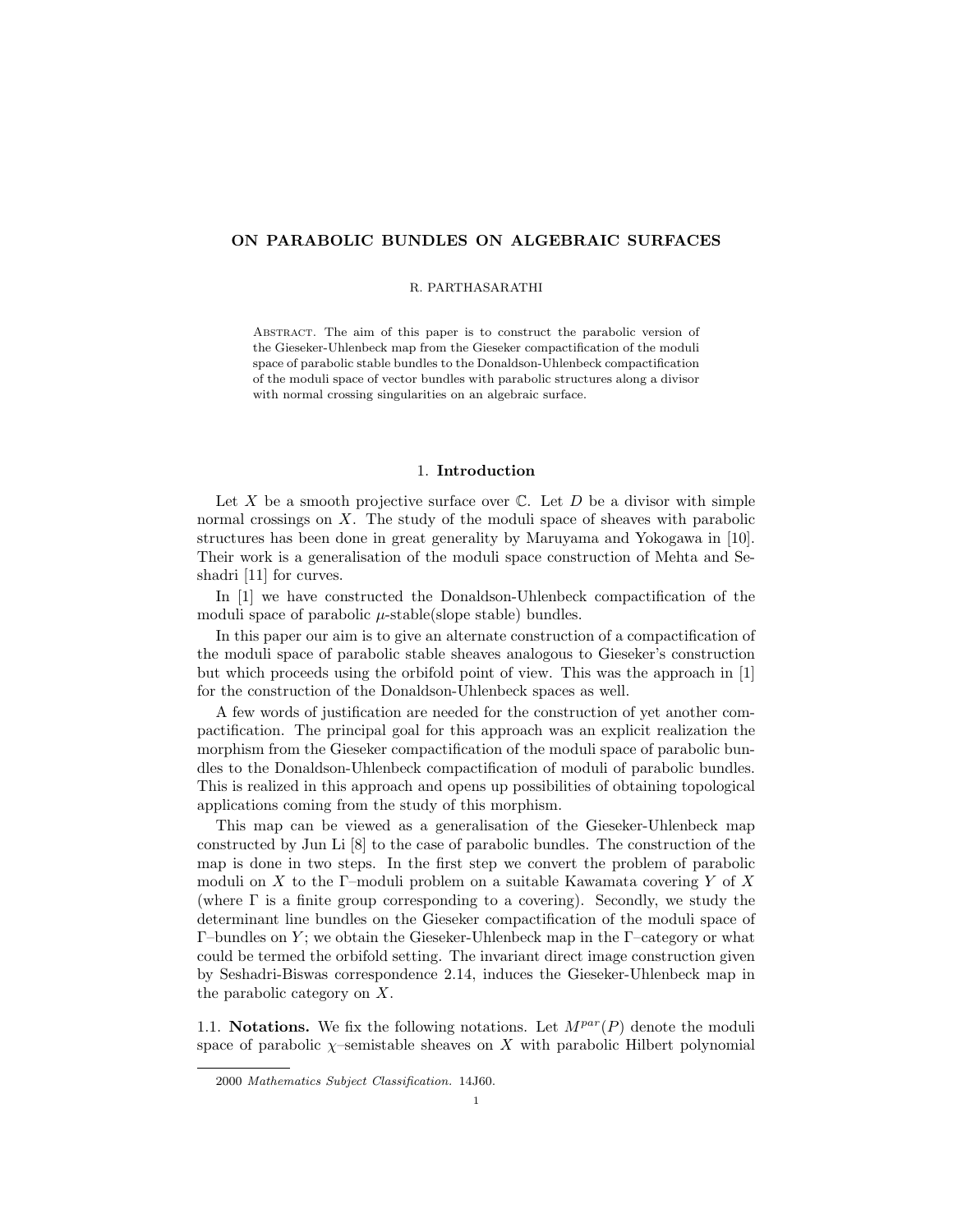# ON PARABOLIC BUNDLES ON ALGEBRAIC SURFACES

### R. PARTHASARATHI

Abstract. The aim of this paper is to construct the parabolic version of the Gieseker-Uhlenbeck map from the Gieseker compactification of the moduli space of parabolic stable bundles to the Donaldson-Uhlenbeck compactification of the moduli space of vector bundles with parabolic structures along a divisor with normal crossing singularities on an algebraic surface.

## 1. Introduction

Let  $X$  be a smooth projective surface over  $\mathbb C$ . Let  $D$  be a divisor with simple normal crossings on X. The study of the moduli space of sheaves with parabolic structures has been done in great generality by Maruyama and Yokogawa in [10]. Their work is a generalisation of the moduli space construction of Mehta and Seshadri [11] for curves.

In [1] we have constructed the Donaldson-Uhlenbeck compactification of the moduli space of parabolic  $\mu$ -stable(slope stable) bundles.

In this paper our aim is to give an alternate construction of a compactification of the moduli space of parabolic stable sheaves analogous to Gieseker's construction but which proceeds using the orbifold point of view. This was the approach in [1] for the construction of the Donaldson-Uhlenbeck spaces as well.

A few words of justification are needed for the construction of yet another compactification. The principal goal for this approach was an explicit realization the morphism from the Gieseker compactification of the moduli space of parabolic bundles to the Donaldson-Uhlenbeck compactification of moduli of parabolic bundles. This is realized in this approach and opens up possibilities of obtaining topological applications coming from the study of this morphism.

This map can be viewed as a generalisation of the Gieseker-Uhlenbeck map constructed by Jun Li [8] to the case of parabolic bundles. The construction of the map is done in two steps. In the first step we convert the problem of parabolic moduli on X to the Γ–moduli problem on a suitable Kawamata covering Y of X (where  $\Gamma$  is a finite group corresponding to a covering). Secondly, we study the determinant line bundles on the Gieseker compactification of the moduli space of Γ-bundles on Y; we obtain the Gieseker-Uhlenbeck map in the Γ-category or what could be termed the orbifold setting. The invariant direct image construction given by Seshadri-Biswas correspondence 2.14, induces the Gieseker-Uhlenbeck map in the parabolic category on X.

1.1. Notations. We fix the following notations. Let  $M^{par}(P)$  denote the moduli space of parabolic  $\chi$ -semistable sheaves on X with parabolic Hilbert polynomial

<sup>2000</sup> Mathematics Subject Classification. 14J60.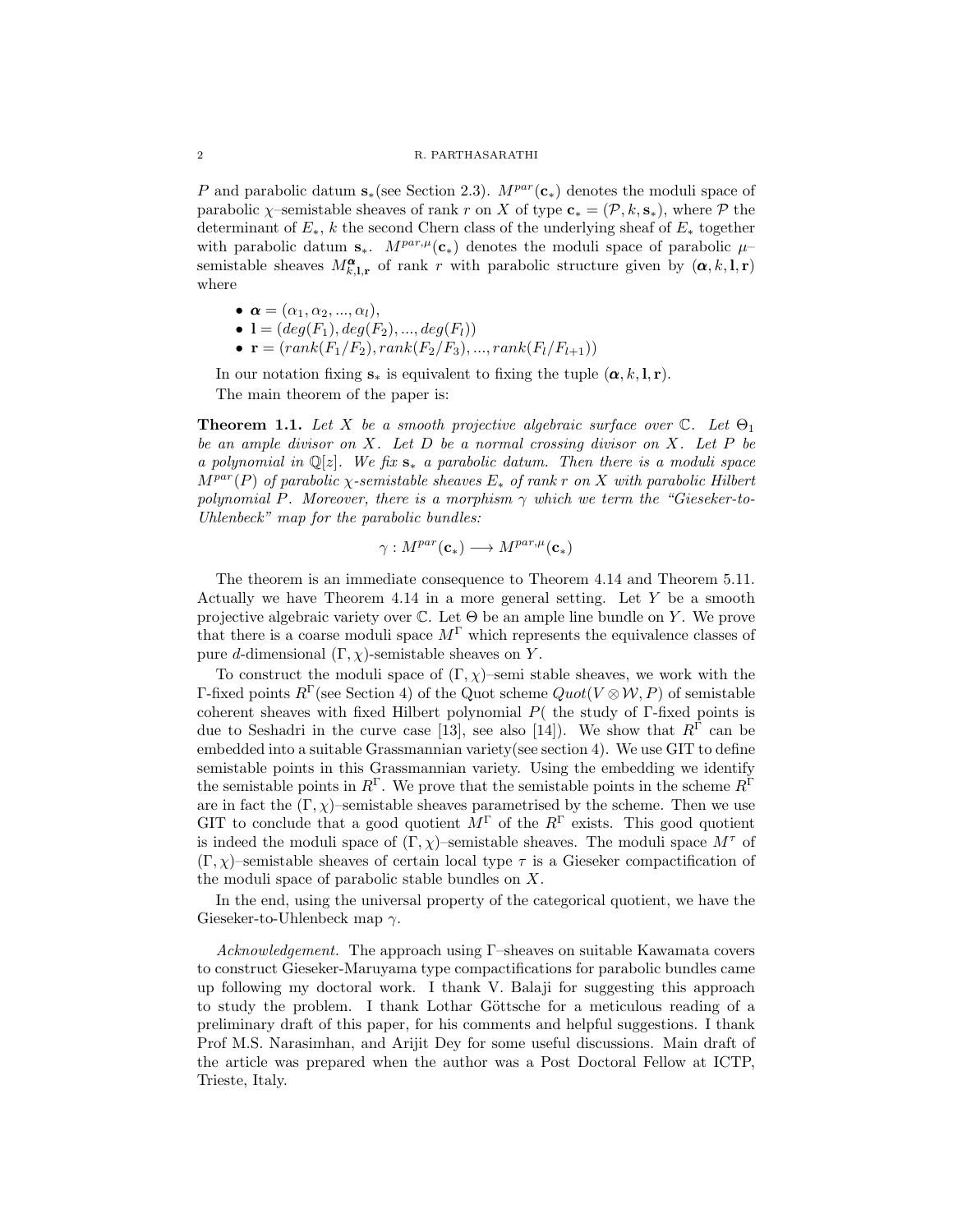#### 2 R. PARTHASARATHI

P and parabolic datum  $s_*(\text{see Section 2.3}).$   $M^{par}(c_*)$  denotes the moduli space of parabolic  $\chi$ –semistable sheaves of rank r on X of type  $c_* = (\mathcal{P}, k, s_*)$ , where P the determinant of  $E^*$ , k the second Chern class of the underlying sheaf of  $E^*$  together with parabolic datum  $s_{*}$ .  $M^{par,\mu}(c_{*})$  denotes the moduli space of parabolic  $\mu$ – semistable sheaves  $M^{\alpha}_{k,1,r}$  of rank r with parabolic structure given by  $(\alpha, k, 1, r)$ where

- $\alpha = (\alpha_1, \alpha_2, ..., \alpha_l),$
- $l = (deg(F_1), deg(F_2), ..., deg(F_l))$
- $\mathbf{r} = (rank(F_1/F_2), rank(F_2/F_3), ..., rank(F_l/F_{l+1}))$

In our notation fixing  $s_*$  is equivalent to fixing the tuple  $(\alpha, k, l, r)$ . The main theorem of the paper is:

**Theorem 1.1.** Let X be a smooth projective algebraic surface over  $\mathbb{C}$ . Let  $\Theta_1$ be an ample divisor on  $X$ . Let  $D$  be a normal crossing divisor on  $X$ . Let  $P$  be a polynomial in  $\mathbb{Q}[z]$ . We fix  $s_*$  a parabolic datum. Then there is a moduli space  $M^{par}(P)$  of parabolic  $\chi$ -semistable sheaves  $E_*$  of rank r on X with parabolic Hilbert polynomial P. Moreover, there is a morphism  $\gamma$  which we term the "Gieseker-to-Uhlenbeck" map for the parabolic bundles:

$$
\gamma: M^{par}({\bf c}_*) \longrightarrow M^{par,\mu}({\bf c}_*)
$$

The theorem is an immediate consequence to Theorem 4.14 and Theorem 5.11. Actually we have Theorem 4.14 in a more general setting. Let  $Y$  be a smooth projective algebraic variety over  $\mathbb C$ . Let  $\Theta$  be an ample line bundle on Y. We prove that there is a coarse moduli space  $M^{\Gamma}$  which represents the equivalence classes of pure d-dimensional  $(\Gamma, \chi)$ -semistable sheaves on Y.

To construct the moduli space of  $(\Gamma, \chi)$ –semi stable sheaves, we work with the Γ-fixed points  $R^{\Gamma}$ (see Section 4) of the Quot scheme  $Quot(V \otimes W, P)$  of semistable coherent sheaves with fixed Hilbert polynomial  $P$ ( the study of Γ-fixed points is due to Seshadri in the curve case [13], see also [14]). We show that  $R^{\Gamma}$  can be embedded into a suitable Grassmannian variety(see section 4). We use GIT to define semistable points in this Grassmannian variety. Using the embedding we identify the semistable points in  $R^{\Gamma}$ . We prove that the semistable points in the scheme  $R^{\Gamma}$ are in fact the  $(\Gamma, \chi)$ –semistable sheaves parametrised by the scheme. Then we use GIT to conclude that a good quotient  $M^{\Gamma}$  of the  $R^{\Gamma}$  exists. This good quotient is indeed the moduli space of  $(\Gamma, \chi)$ –semistable sheaves. The moduli space  $M^{\tau}$  of  $(\Gamma, \chi)$ –semistable sheaves of certain local type  $\tau$  is a Gieseker compactification of the moduli space of parabolic stable bundles on X.

In the end, using the universal property of the categorical quotient, we have the Gieseker-to-Uhlenbeck map  $\gamma$ .

Acknowledgement. The approach using Γ-sheaves on suitable Kawamata covers to construct Gieseker-Maruyama type compactifications for parabolic bundles came up following my doctoral work. I thank V. Balaji for suggesting this approach to study the problem. I thank Lothar Göttsche for a meticulous reading of a preliminary draft of this paper, for his comments and helpful suggestions. I thank Prof M.S. Narasimhan, and Arijit Dey for some useful discussions. Main draft of the article was prepared when the author was a Post Doctoral Fellow at ICTP, Trieste, Italy.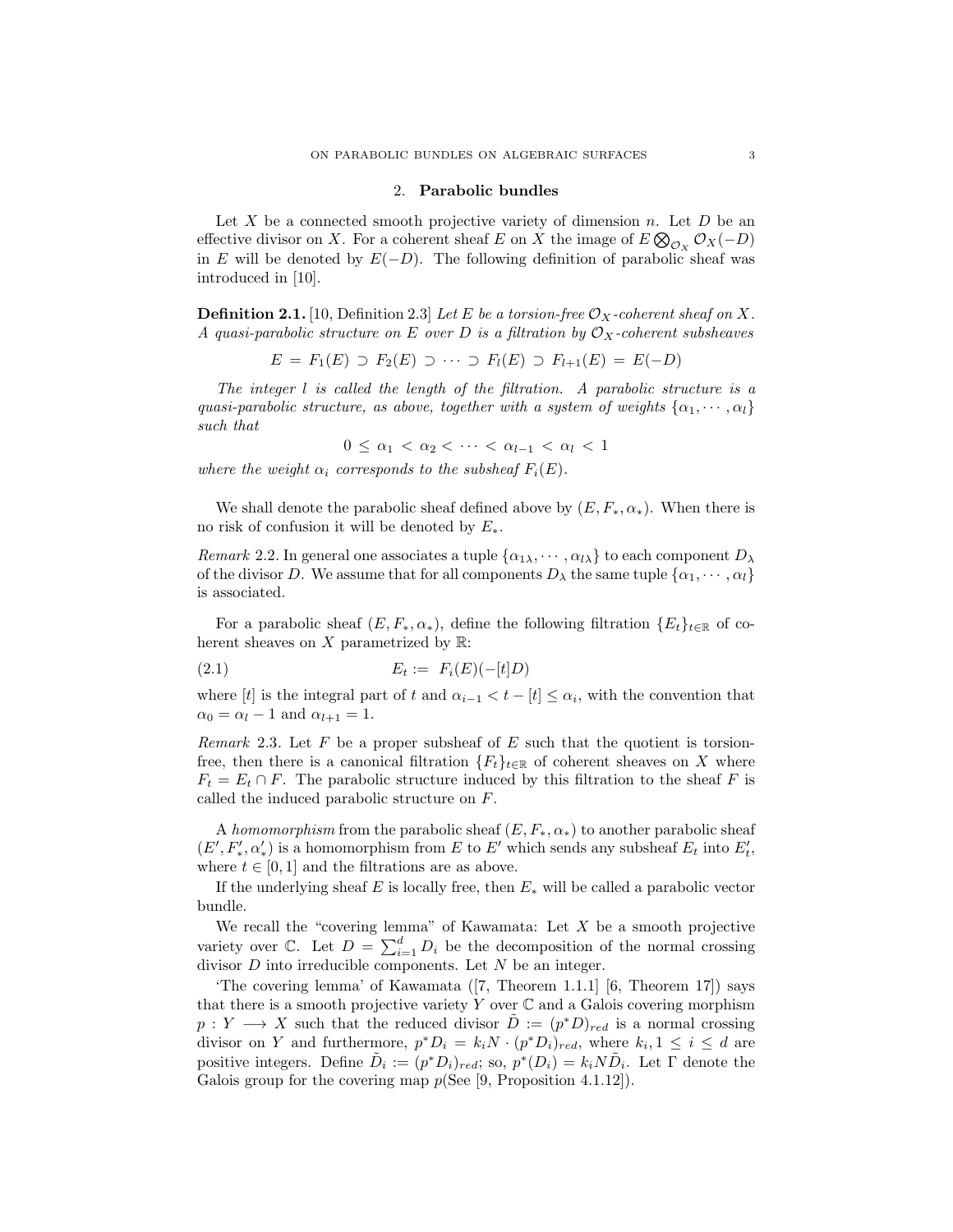#### 2. Parabolic bundles

Let  $X$  be a connected smooth projective variety of dimension  $n$ . Let  $D$  be an effective divisor on X. For a coherent sheaf E on X the image of  $E \otimes_{\mathcal{O}_X} \mathcal{O}_X(-D)$ in E will be denoted by  $E(-D)$ . The following definition of parabolic sheaf was introduced in [10].

**Definition 2.1.** [10, Definition 2.3] Let E be a torsion-free  $\mathcal{O}_X$ -coherent sheaf on X. A quasi-parabolic structure on E over D is a filtration by  $\mathcal{O}_X$ -coherent subsheaves

$$
E = F_1(E) \supset F_2(E) \supset \cdots \supset F_l(E) \supset F_{l+1}(E) = E(-D)
$$

The integer  $l$  is called the length of the filtration. A parabolic structure is a quasi-parabolic structure, as above, together with a system of weights  $\{\alpha_1, \dots, \alpha_l\}$ such that

 $0 \leq \alpha_1 < \alpha_2 < \cdots < \alpha_{l-1} < \alpha_l < 1$ 

where the weight  $\alpha_i$  corresponds to the subsheaf  $F_i(E)$ .

We shall denote the parabolic sheaf defined above by  $(E, F_*, \alpha_*)$ . When there is no risk of confusion it will be denoted by  $E_*$ .

Remark 2.2. In general one associates a tuple  $\{\alpha_{1\lambda}, \cdots, \alpha_{l\lambda}\}\)$  to each component  $D_{\lambda}$ of the divisor D. We assume that for all components  $D_{\lambda}$  the same tuple  $\{\alpha_1, \cdots, \alpha_l\}$ is associated.

For a parabolic sheaf  $(E, F_*, \alpha_*)$ , define the following filtration  $\{E_t\}_{t \in \mathbb{R}}$  of coherent sheaves on  $X$  parametrized by  $\mathbb{R}$ :

$$
(2.1) \t\t\t E_t := F_i(E)(-[t]D)
$$

where [t] is the integral part of t and  $\alpha_{i-1} < t - [t] \leq \alpha_i$ , with the convention that  $\alpha_0 = \alpha_l - 1$  and  $\alpha_{l+1} = 1$ .

Remark 2.3. Let  $F$  be a proper subsheaf of  $E$  such that the quotient is torsionfree, then there is a canonical filtration  ${F_t}_{t \in \mathbb{R}}$  of coherent sheaves on X where  $F_t = E_t \cap F$ . The parabolic structure induced by this filtration to the sheaf F is called the induced parabolic structure on F.

A homomorphism from the parabolic sheaf  $(E, F_*, \alpha_*)$  to another parabolic sheaf  $(E', F'_*, \alpha'_*)$  is a homomorphism from E to E' which sends any subsheaf  $E_t$  into  $E'_t$ , where  $t \in [0, 1]$  and the filtrations are as above.

If the underlying sheaf E is locally free, then  $E_*$  will be called a parabolic vector bundle.

We recall the "covering lemma" of Kawamata: Let  $X$  be a smooth projective variety over C. Let  $D = \sum_{i=1}^{d} D_i$  be the decomposition of the normal crossing divisor  $D$  into irreducible components. Let  $N$  be an integer.

'The covering lemma' of Kawamata ([7, Theorem 1.1.1] [6, Theorem 17]) says that there is a smooth projective variety Y over  $\mathbb C$  and a Galois covering morphism  $p: Y \longrightarrow X$  such that the reduced divisor  $\tilde{D} := (p^*D)_{red}$  is a normal crossing divisor on Y and furthermore,  $p^*D_i = k_i N \cdot (p^*D_i)_{red}$ , where  $k_i, 1 \leq i \leq d$  are positive integers. Define  $\tilde{D}_i := (p^*D_i)_{red}$ ; so,  $p^*(D_i) = k_i N \tilde{D}_i$ . Let  $\Gamma$  denote the Galois group for the covering map  $p$ (See [9, Proposition 4.1.12]).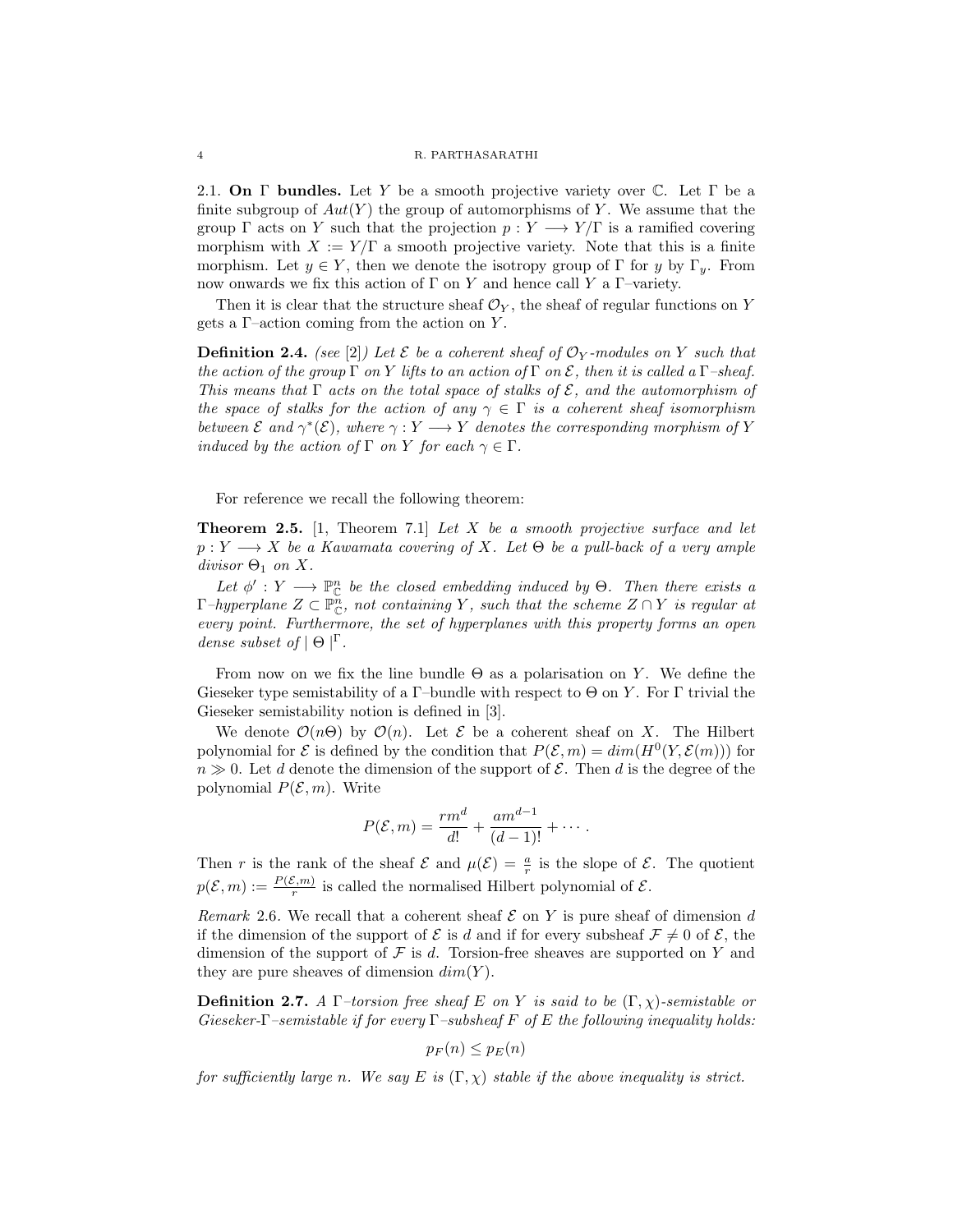2.1. On Γ bundles. Let Y be a smooth projective variety over  $\mathbb C$ . Let Γ be a finite subgroup of  $Aut(Y)$  the group of automorphisms of Y. We assume that the group  $\Gamma$  acts on Y such that the projection  $p: Y \longrightarrow Y/\Gamma$  is a ramified covering morphism with  $X := Y/\Gamma$  a smooth projective variety. Note that this is a finite morphism. Let  $y \in Y$ , then we denote the isotropy group of Γ for y by Γ<sub>y</sub>. From now onwards we fix this action of  $\Gamma$  on Y and hence call Y a  $\Gamma$ -variety.

Then it is clear that the structure sheaf  $\mathcal{O}_Y$ , the sheaf of regular functions on Y gets a  $\Gamma$ -action coming from the action on Y.

**Definition 2.4.** (see [2]) Let  $\mathcal{E}$  be a coherent sheaf of  $\mathcal{O}_Y$ -modules on Y such that the action of the group  $\Gamma$  on Y lifts to an action of  $\Gamma$  on  $\mathcal E$ , then it is called a  $\Gamma$ -sheaf. This means that  $\Gamma$  acts on the total space of stalks of  $\mathcal{E}$ , and the automorphism of the space of stalks for the action of any  $\gamma \in \Gamma$  is a coherent sheaf isomorphism between  $\mathcal E$  and  $\gamma^*(\mathcal E)$ , where  $\gamma: Y \longrightarrow Y$  denotes the corresponding morphism of Y induced by the action of  $\Gamma$  on Y for each  $\gamma \in \Gamma$ .

For reference we recall the following theorem:

**Theorem 2.5.** [1, Theorem 7.1] Let X be a smooth projective surface and let  $p: Y \longrightarrow X$  be a Kawamata covering of X. Let  $\Theta$  be a pull-back of a very ample divisor  $\Theta_1$  on X.

Let  $\phi': Y \longrightarrow \mathbb{P}_{\mathbb{C}}^n$  be the closed embedding induced by  $\Theta$ . Then there exists a  $\Gamma$ -hyperplane  $Z \subset \mathbb{P}^n_{\mathbb{C}}$ , not containing Y, such that the scheme  $Z \cap Y$  is regular at every point. Furthermore, the set of hyperplanes with this property forms an open dense subset of  $\Theta | \Gamma$ .

From now on we fix the line bundle  $\Theta$  as a polarisation on Y. We define the Gieseker type semistability of a Γ-bundle with respect to  $\Theta$  on Y. For Γ trivial the Gieseker semistability notion is defined in [3].

We denote  $\mathcal{O}(n\Theta)$  by  $\mathcal{O}(n)$ . Let  $\mathcal E$  be a coherent sheaf on X. The Hilbert polynomial for  $\mathcal E$  is defined by the condition that  $P(\mathcal E,m) = dim(H^0(Y,\mathcal E(m)))$  for  $n \gg 0$ . Let d denote the dimension of the support of  $\mathcal{E}$ . Then d is the degree of the polynomial  $P(\mathcal{E}, m)$ . Write

$$
P(\mathcal{E}, m) = \frac{rm^d}{d!} + \frac{am^{d-1}}{(d-1)!} + \cdots
$$

Then r is the rank of the sheaf  $\mathcal E$  and  $\mu(\mathcal E) = \frac{a}{r}$  is the slope of  $\mathcal E$ . The quotient  $p(\mathcal{E}, m) := \frac{P(\mathcal{E}, m)}{r}$  is called the normalised Hilbert polynomial of  $\mathcal{E}$ .

Remark 2.6. We recall that a coherent sheaf  $\mathcal E$  on Y is pure sheaf of dimension d if the dimension of the support of  $\mathcal E$  is d and if for every subsheaf  $\mathcal F\neq 0$  of  $\mathcal E$ , the dimension of the support of  $\mathcal F$  is d. Torsion-free sheaves are supported on Y and they are pure sheaves of dimension  $dim(Y)$ .

**Definition 2.7.** A Γ–torsion free sheaf E on Y is said to be  $(\Gamma, \chi)$ -semistable or Gieseker-Γ–semistable if for every Γ–subsheaf F of E the following inequality holds:

$$
p_F(n) \leq p_E(n)
$$

for sufficiently large n. We say E is  $(\Gamma, \chi)$  stable if the above inequality is strict.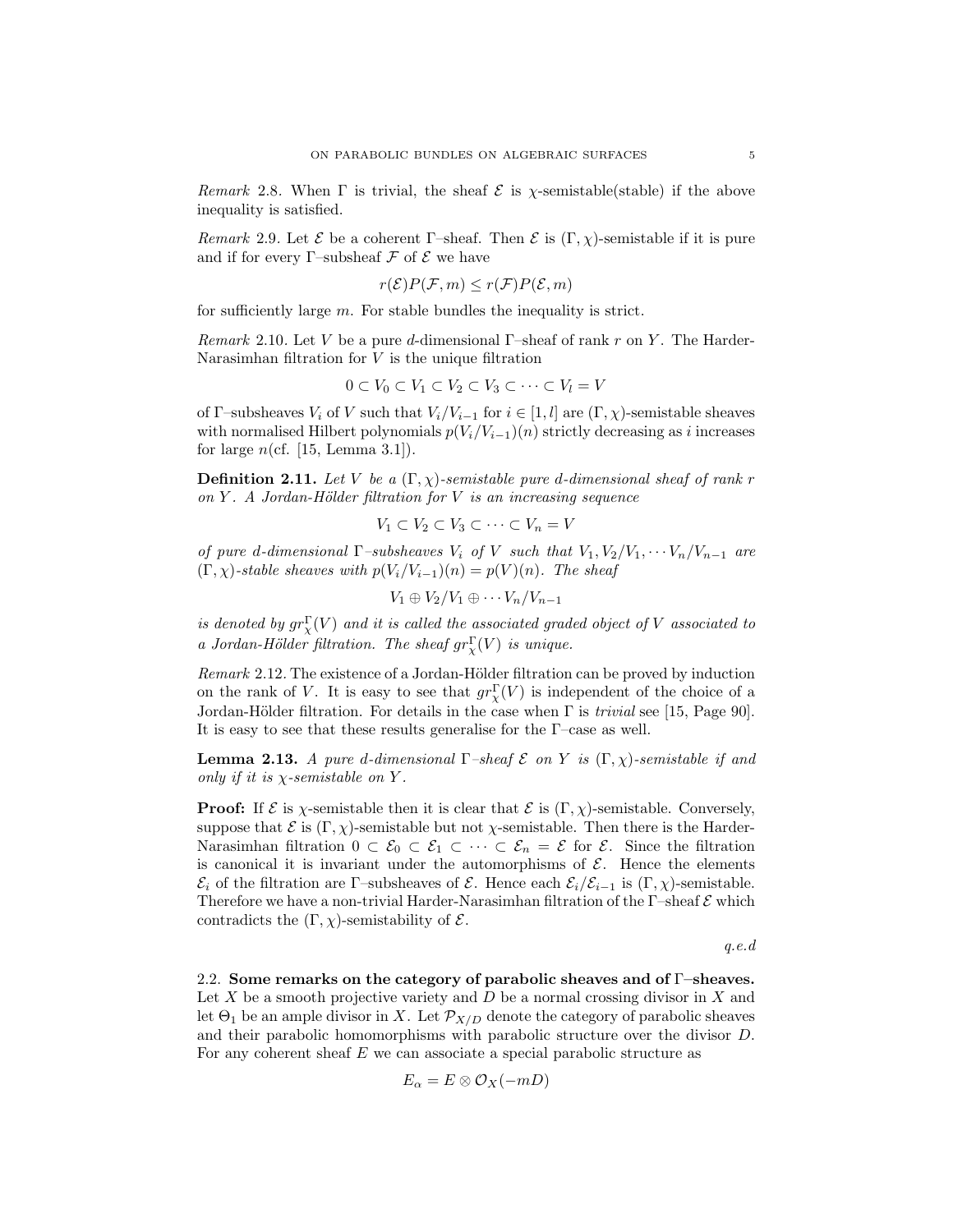Remark 2.8. When  $\Gamma$  is trivial, the sheaf  $\mathcal E$  is  $\chi$ -semistable(stable) if the above inequality is satisfied.

Remark 2.9. Let  $\mathcal E$  be a coherent Γ-sheaf. Then  $\mathcal E$  is  $(\Gamma,\chi)$ -semistable if it is pure and if for every Γ–subsheaf  $\mathcal F$  of  $\mathcal E$  we have

$$
r(\mathcal{E})P(\mathcal{F},m) \le r(\mathcal{F})P(\mathcal{E},m)
$$

for sufficiently large m. For stable bundles the inequality is strict.

Remark 2.10. Let V be a pure d-dimensional  $\Gamma$ -sheaf of rank r on Y. The Harder-Narasimhan filtration for  $V$  is the unique filtration

$$
0 \subset V_0 \subset V_1 \subset V_2 \subset V_3 \subset \cdots \subset V_l = V
$$

of Γ–subsheaves  $V_i$  of V such that  $V_i/V_{i-1}$  for  $i \in [1, l]$  are  $(\Gamma, \chi)$ -semistable sheaves with normalised Hilbert polynomials  $p(V_i/V_{i-1})(n)$  strictly decreasing as i increases for large  $n$ (cf. [15, Lemma 3.1]).

**Definition 2.11.** Let V be a  $(\Gamma, \chi)$ -semistable pure d-dimensional sheaf of rank r on Y. A Jordan-Hölder filtration for  $V$  is an increasing sequence

$$
V_1 \subset V_2 \subset V_3 \subset \cdots \subset V_n = V
$$

of pure d-dimensional  $\Gamma$ -subsheaves  $V_i$  of V such that  $V_1, V_2/V_1, \cdots V_n/V_{n-1}$  are  $(\Gamma, \chi)$ -stable sheaves with  $p(V_i/V_{i-1})(n) = p(V)(n)$ . The sheaf

$$
V_1 \oplus V_2/V_1 \oplus \cdots V_n/V_{n-1}
$$

is denoted by  $gr_X^{\Gamma}(V)$  and it is called the associated graded object of V associated to a Jordan-Hölder filtration. The sheaf  $gr^{\Gamma}(V)$  is unique.

 $Remark 2.12.$  The existence of a Jordan-Hölder filtration can be proved by induction on the rank of V. It is easy to see that  $gr_X^{\Gamma}(V)$  is independent of the choice of a Jordan-Hölder filtration. For details in the case when  $\Gamma$  is *trivial* see [15, Page 90]. It is easy to see that these results generalise for the Γ–case as well.

**Lemma 2.13.** A pure d-dimensional  $\Gamma$ -sheaf  $\mathcal{E}$  on Y is  $(\Gamma, \chi)$ -semistable if and only if it is  $\chi$ -semistable on Y.

**Proof:** If  $\mathcal{E}$  is  $\chi$ -semistable then it is clear that  $\mathcal{E}$  is  $(\Gamma, \chi)$ -semistable. Conversely, suppose that  $\mathcal E$  is  $(\Gamma, \chi)$ -semistable but not  $\chi$ -semistable. Then there is the Harder-Narasimhan filtration  $0 \subset \mathcal{E}_0 \subset \mathcal{E}_1 \subset \cdots \subset \mathcal{E}_n = \mathcal{E}$  for  $\mathcal{E}$ . Since the filtration is canonical it is invariant under the automorphisms of  $\mathcal{E}$ . Hence the elements  $\mathcal{E}_i$  of the filtration are Γ–subsheaves of  $\mathcal{E}$ . Hence each  $\mathcal{E}_i/\mathcal{E}_{i-1}$  is  $(\Gamma,\chi)$ -semistable. Therefore we have a non-trivial Harder-Narasimhan filtration of the  $\Gamma$ -sheaf  $\mathcal E$  which contradicts the  $(\Gamma, \chi)$ -semistability of  $\mathcal{E}$ .

q.e.d

2.2. Some remarks on the category of parabolic sheaves and of  $\Gamma$ –sheaves. Let  $X$  be a smooth projective variety and  $D$  be a normal crossing divisor in  $X$  and let  $\Theta_1$  be an ample divisor in X. Let  $\mathcal{P}_{X/D}$  denote the category of parabolic sheaves and their parabolic homomorphisms with parabolic structure over the divisor D. For any coherent sheaf  $E$  we can associate a special parabolic structure as

$$
E_{\alpha}=E\otimes\mathcal{O}_X(-mD)
$$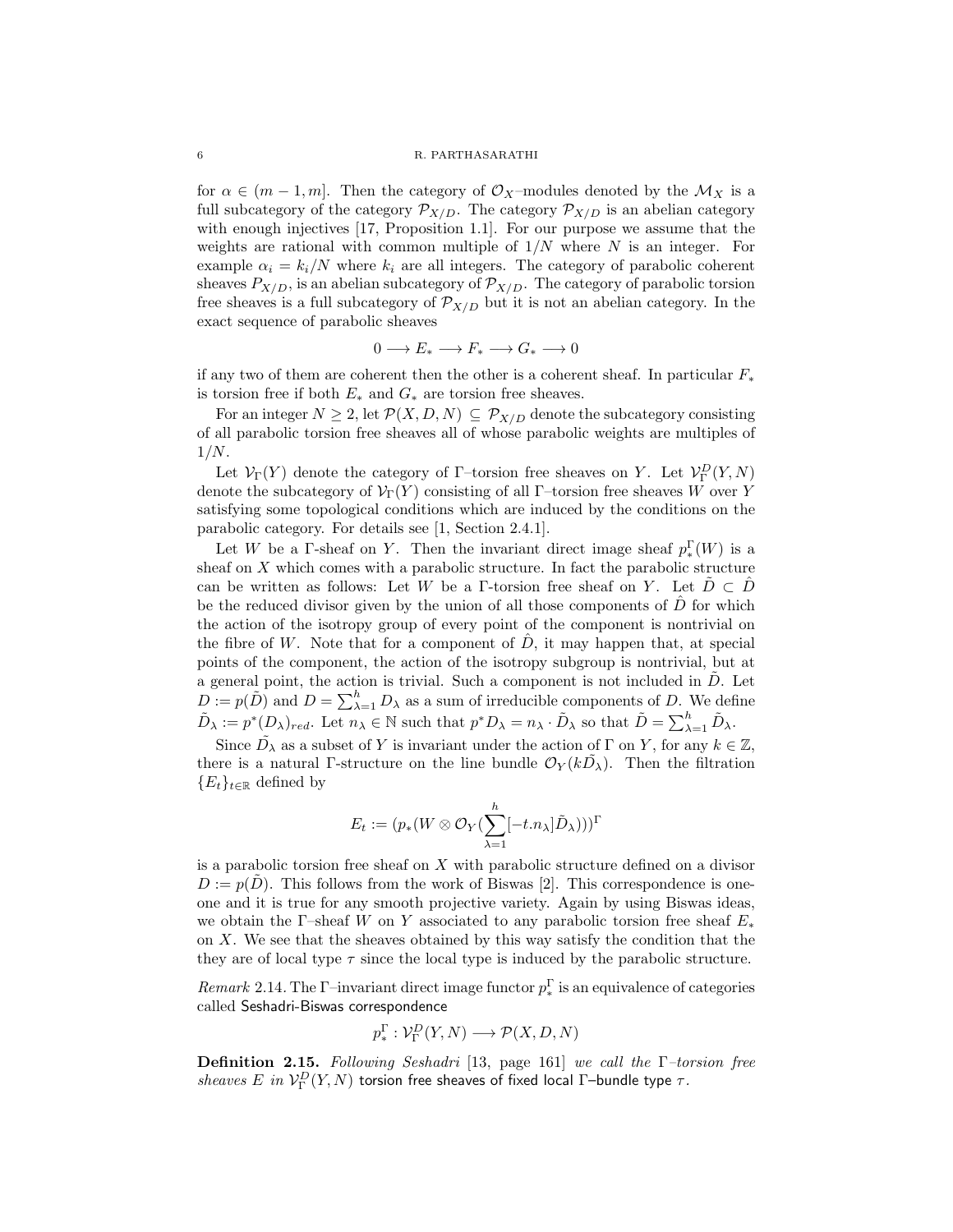for  $\alpha \in (m-1,m]$ . Then the category of  $\mathcal{O}_X$ -modules denoted by the  $\mathcal{M}_X$  is a full subcategory of the category  $\mathcal{P}_{X/D}$ . The category  $\mathcal{P}_{X/D}$  is an abelian category with enough injectives [17, Proposition 1.1]. For our purpose we assume that the weights are rational with common multiple of  $1/N$  where N is an integer. For example  $\alpha_i = k_i/N$  where  $k_i$  are all integers. The category of parabolic coherent sheaves  $P_{X/D}$ , is an abelian subcategory of  $\mathcal{P}_{X/D}$ . The category of parabolic torsion free sheaves is a full subcategory of  $\mathcal{P}_{X/D}$  but it is not an abelian category. In the exact sequence of parabolic sheaves

$$
0 \longrightarrow E_* \longrightarrow F_* \longrightarrow G_* \longrightarrow 0
$$

if any two of them are coherent then the other is a coherent sheaf. In particular  $F_*$ is torsion free if both  $E_*$  and  $G_*$  are torsion free sheaves.

For an integer  $N \geq 2$ , let  $\mathcal{P}(X, D, N) \subseteq \mathcal{P}_{X/D}$  denote the subcategory consisting of all parabolic torsion free sheaves all of whose parabolic weights are multiples of  $1/N$ .

Let  $\mathcal{V}_{\Gamma}(Y)$  denote the category of  $\Gamma$ -torsion free sheaves on Y. Let  $\mathcal{V}_{\Gamma}^{D}(Y, N)$ denote the subcategory of  $\mathcal{V}_{\Gamma}(Y)$  consisting of all Γ–torsion free sheaves W over Y satisfying some topological conditions which are induced by the conditions on the parabolic category. For details see [1, Section 2.4.1].

Let W be a Γ-sheaf on Y. Then the invariant direct image sheaf  $p_*^{\Gamma}(W)$  is a sheaf on  $X$  which comes with a parabolic structure. In fact the parabolic structure can be written as follows: Let W be a Γ-torsion free sheaf on Y. Let  $\overline{D} \subset \overline{D}$ be the reduced divisor given by the union of all those components of  $\hat{D}$  for which the action of the isotropy group of every point of the component is nontrivial on the fibre of W. Note that for a component of  $D$ , it may happen that, at special points of the component, the action of the isotropy subgroup is nontrivial, but at a general point, the action is trivial. Such a component is not included in  $\tilde{D}$ . Let  $D := p(\tilde{D})$  and  $D = \sum_{\lambda=1}^{h} D_{\lambda}$  as a sum of irreducible components of D. We define  $\tilde{D}_{\lambda} := p^*(D_{\lambda})_{red}$ . Let  $n_{\lambda} \in \mathbb{N}$  such that  $p^*D_{\lambda} = n_{\lambda} \cdot \tilde{D}_{\lambda}$  so that  $\tilde{D} = \sum_{\lambda=1}^h \tilde{D}_{\lambda}$ .

Since  $\tilde{D_{\lambda}}$  as a subset of Y is invariant under the action of  $\Gamma$  on Y, for any  $k \in \mathbb{Z}$ , there is a natural Γ-structure on the line bundle  $\mathcal{O}_Y(k\tilde{D_\lambda})$ . Then the filtration  ${E_t}_{t \in \mathbb{R}}$  defined by

$$
E_t := (p_*(W \otimes \mathcal{O}_Y(\sum_{\lambda=1}^h [-t.n_{\lambda}]\tilde{D}_{\lambda})))^{\Gamma}
$$

is a parabolic torsion free sheaf on X with parabolic structure defined on a divisor  $D := p(D)$ . This follows from the work of Biswas [2]. This correspondence is oneone and it is true for any smooth projective variety. Again by using Biswas ideas, we obtain the Γ–sheaf W on Y associated to any parabolic torsion free sheaf  $E_*$ on X. We see that the sheaves obtained by this way satisfy the condition that the they are of local type  $\tau$  since the local type is induced by the parabolic structure.

Remark 2.14. The  $\Gamma$ -invariant direct image functor  $p_*^{\Gamma}$  is an equivalence of categories called Seshadri-Biswas correspondence

$$
p_*^{\Gamma}: \mathcal{V}_{\Gamma}^D(Y,N) \longrightarrow \mathcal{P}(X,D,N)
$$

**Definition 2.15.** Following Seshadri [13, page 161] we call the  $\Gamma$ -torsion free sheaves E in  $\mathcal{V}_{\Gamma}^D(Y,N)$  torsion free sheaves of fixed local  $\Gamma$ -bundle type  $\tau$ .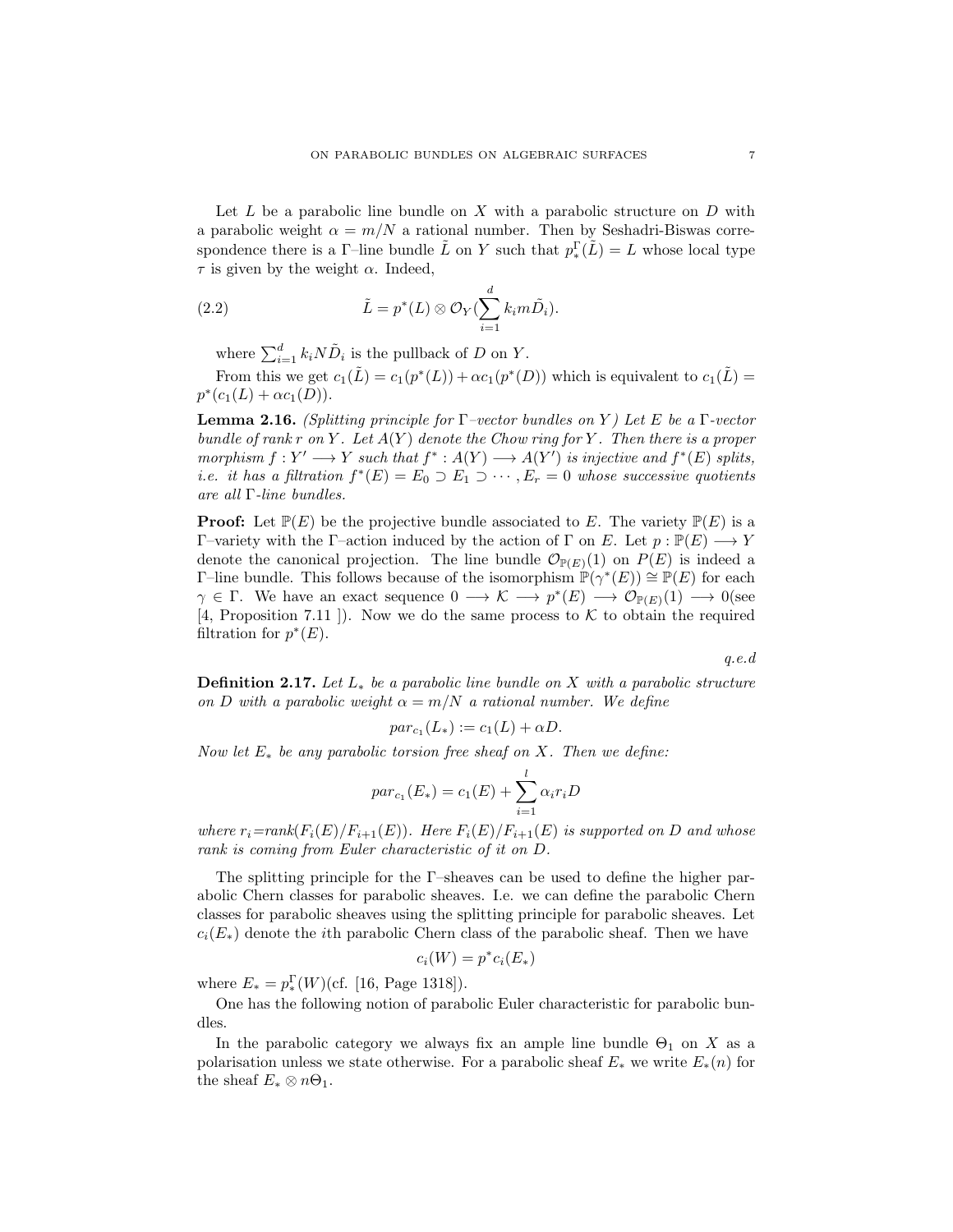Let  $L$  be a parabolic line bundle on  $X$  with a parabolic structure on  $D$  with a parabolic weight  $\alpha = m/N$  a rational number. Then by Seshadri-Biswas correspondence there is a  $\Gamma$ -line bundle  $\tilde{L}$  on Y such that  $p_*^{\Gamma}(\tilde{L}) = L$  whose local type  $\tau$  is given by the weight  $\alpha$ . Indeed,

(2.2) 
$$
\tilde{L} = p^*(L) \otimes \mathcal{O}_Y(\sum_{i=1}^d k_i m \tilde{D}_i).
$$

where  $\sum_{i=1}^{d} k_i N \tilde{D}_i$  is the pullback of D on Y.

From this we get  $c_1(\tilde{L}) = c_1(p^*(L)) + \alpha c_1(p^*(D))$  which is equivalent to  $c_1(\tilde{L}) =$  $p^*(c_1(L) + \alpha c_1(D)).$ 

**Lemma 2.16.** (Splitting principle for  $\Gamma$ -vector bundles on Y) Let E be a  $\Gamma$ -vector bundle of rank r on Y. Let  $A(Y)$  denote the Chow ring for Y. Then there is a proper morphism  $f: Y' \longrightarrow Y$  such that  $f^*: A(Y) \longrightarrow A(Y')$  is injective and  $f^*(E)$  splits, *i.e.* it has a filtration  $f^*(E) = E_0 \supset E_1 \supset \cdots$ ,  $E_r = 0$  whose successive quotients are all Γ-line bundles.

**Proof:** Let  $\mathbb{P}(E)$  be the projective bundle associated to E. The variety  $\mathbb{P}(E)$  is a Γ–variety with the Γ–action induced by the action of Γ on E. Let  $p : \mathbb{P}(E) \longrightarrow Y$ denote the canonical projection. The line bundle  $\mathcal{O}_{\mathbb{P}(E)}(1)$  on  $P(E)$  is indeed a  $Γ$ -line bundle. This follows because of the isomorphism  $\mathbb{P}(\gamma^*(E)) \cong \mathbb{P}(E)$  for each  $\gamma \in \Gamma$ . We have an exact sequence  $0 \longrightarrow \mathcal{K} \longrightarrow p^*(E) \longrightarrow \mathcal{O}_{\mathbb{P}(E)}(1) \longrightarrow 0$ (see [4, Proposition 7.11 ]). Now we do the same process to  $K$  to obtain the required filtration for  $p^*(E)$ .

q.e.d

**Definition 2.17.** Let  $L_*$  be a parabolic line bundle on X with a parabolic structure on D with a parabolic weight  $\alpha = m/N$  a rational number. We define

$$
par_{c_1}(L_*) := c_1(L) + \alpha D.
$$

Now let  $E_*$  be any parabolic torsion free sheaf on X. Then we define:

$$
par_{c_1}(E_*) = c_1(E) + \sum_{i=1}^{l} \alpha_i r_i D
$$

where  $r_i = rank(F_i(E)/F_{i+1}(E))$ . Here  $F_i(E)/F_{i+1}(E)$  is supported on D and whose rank is coming from Euler characteristic of it on D.

The splitting principle for the  $\Gamma$ –sheaves can be used to define the higher parabolic Chern classes for parabolic sheaves. I.e. we can define the parabolic Chern classes for parabolic sheaves using the splitting principle for parabolic sheaves. Let  $c_i(E_*)$  denote the *i*th parabolic Chern class of the parabolic sheaf. Then we have

$$
c_i(W) = p^*c_i(E_*)
$$

where  $E_* = p_*^{\Gamma}(W)$ (cf. [16, Page 1318]).

One has the following notion of parabolic Euler characteristic for parabolic bundles.

In the parabolic category we always fix an ample line bundle  $\Theta_1$  on X as a polarisation unless we state otherwise. For a parabolic sheaf  $E_*$  we write  $E_*(n)$  for the sheaf  $E_* \otimes n\Theta_1$ .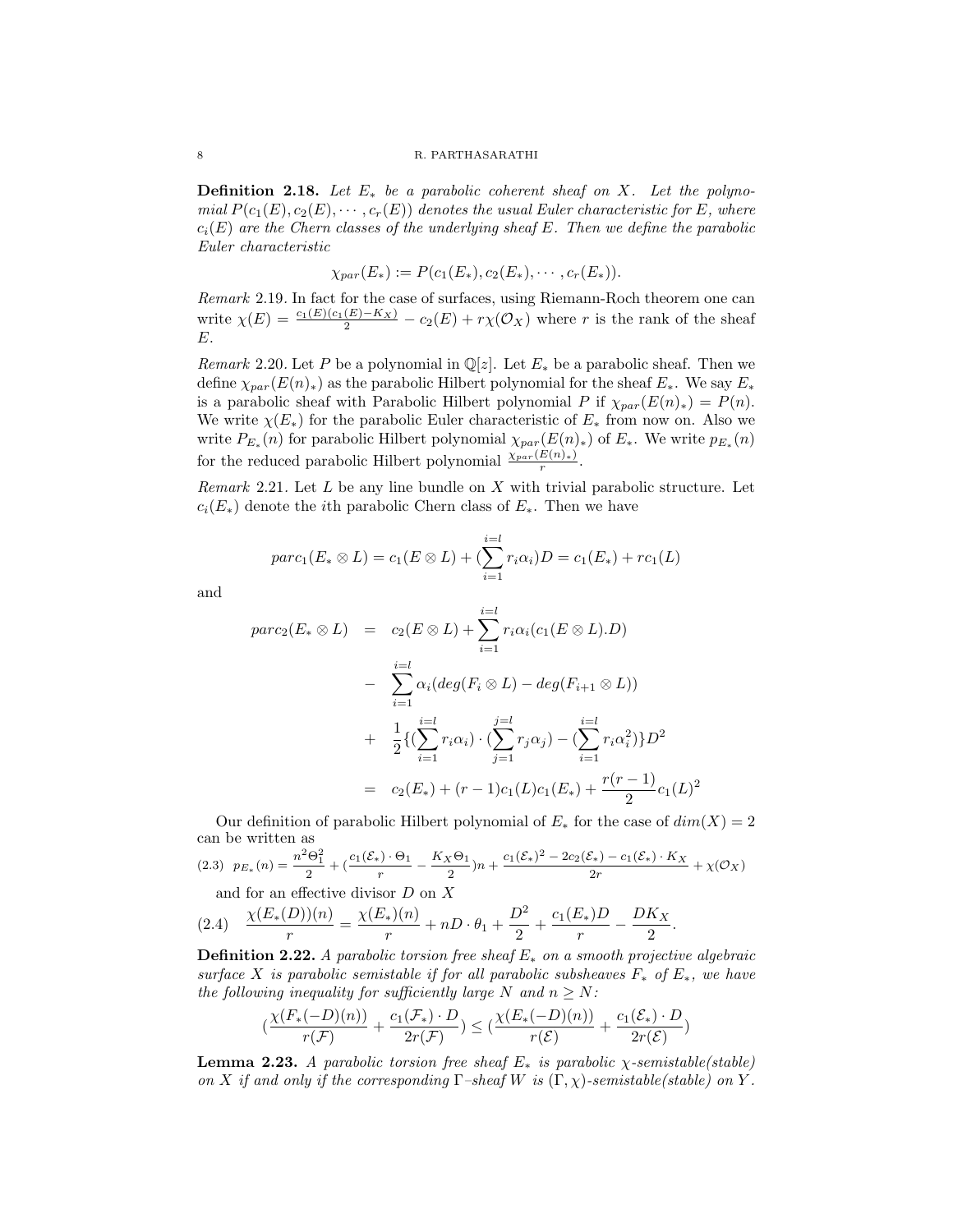**Definition 2.18.** Let  $E_*$  be a parabolic coherent sheaf on X. Let the polynomial  $P(c_1(E), c_2(E), \cdots, c_r(E))$  denotes the usual Euler characteristic for E, where  $c_i(E)$  are the Chern classes of the underlying sheaf E. Then we define the parabolic Euler characteristic

$$
\chi_{par}(E_*) := P(c_1(E_*), c_2(E_*), \cdots, c_r(E_*)).
$$

Remark 2.19. In fact for the case of surfaces, using Riemann-Roch theorem one can write  $\chi(E) = \frac{c_1(E)(c_1(E) - K_X)}{2} - c_2(E) + r\chi(\mathcal{O}_X)$  where r is the rank of the sheaf E.

*Remark* 2.20. Let P be a polynomial in  $\mathbb{Q}[z]$ . Let  $E_*$  be a parabolic sheaf. Then we define  $\chi_{par}(E(n)_*)$  as the parabolic Hilbert polynomial for the sheaf  $E_*$ . We say  $E_*$ is a parabolic sheaf with Parabolic Hilbert polynomial P if  $\chi_{par}(E(n)_*) = P(n)$ . We write  $\chi(E_*)$  for the parabolic Euler characteristic of  $E_*$  from now on. Also we write  $P_{E_*}(n)$  for parabolic Hilbert polynomial  $\chi_{par}(E(n)_*)$  of  $E_*$ . We write  $p_{E_*}(n)$ for the reduced parabolic Hilbert polynomial  $\frac{\chi_{par}(E(n)_*)}{r}$ .

Remark 2.21. Let  $L$  be any line bundle on  $X$  with trivial parabolic structure. Let  $c_i(E_*)$  denote the *i*th parabolic Chern class of  $E_*$ . Then we have

$$
parc_1(E_* \otimes L) = c_1(E \otimes L) + (\sum_{i=1}^{i=l} r_i \alpha_i)D = c_1(E_*) + rc_1(L)
$$

and

$$
parc_2(E_* \otimes L) = c_2(E \otimes L) + \sum_{i=1}^{i=l} r_i \alpha_i (c_1(E \otimes L).D)
$$
  
- 
$$
\sum_{i=1}^{i=l} \alpha_i (deg(F_i \otimes L) - deg(F_{i+1} \otimes L))
$$
  
+ 
$$
\frac{1}{2} \{ (\sum_{i=1}^{i=l} r_i \alpha_i) \cdot (\sum_{j=1}^{j=l} r_j \alpha_j) - (\sum_{i=1}^{i=l} r_i \alpha_i^2) \} D^2
$$
  
= 
$$
c_2(E_*) + (r - 1)c_1(L)c_1(E_*) + \frac{r(r - 1)}{2}c_1(L)^2
$$

Our definition of parabolic Hilbert polynomial of  $E_*$  for the case of  $dim(X) = 2$ can be written as

(2.3) 
$$
p_{E_*}(n) = \frac{n^2 \Theta_1^2}{2} + (\frac{c_1(\mathcal{E}_*) \cdot \Theta_1}{r} - \frac{K_X \Theta_1}{2})n + \frac{c_1(\mathcal{E}_*)^2 - 2c_2(\mathcal{E}_*) - c_1(\mathcal{E}_*) \cdot K_X}{2r} + \chi(\mathcal{O}_X)
$$
  
and for an effective divisor *D* on *X*  
(2.4) 
$$
\frac{\chi(E_*(D))(n)}{\chi(E_*(D))(n)} = \frac{\chi(E_*)(n)}{n} + nD \cdot \theta_1 + \frac{D^2}{n} + \frac{c_1(E_*)D}{n} - \frac{DK_X}{n}.
$$

r = r  $+nD\cdot\theta_1 +$ 2 + r − 2  $(2.4)$   $\frac{\Delta(2\pi\sqrt{D})(10)}{D} = \frac{\Delta(2\pi\sqrt{D})(10)}{D} + nD \cdot \theta_1 + \frac{D}{\theta_1} + \frac{C_1(2\pi\sqrt{D})}{D} - \frac{D}{\theta_2}.$ 

**Definition 2.22.** A parabolic torsion free sheaf  $E_*$  on a smooth projective algebraic surface X is parabolic semistable if for all parabolic subsheaves  $F_*$  of  $E_*$ , we have the following inequality for sufficiently large N and  $n \geq N$ :

$$
\left(\frac{\chi(F_*(-D)(n))}{r(\mathcal{F})} + \frac{c_1(\mathcal{F}_*)\cdot D}{2r(\mathcal{F})}\right) \leq \left(\frac{\chi(E_*(-D)(n))}{r(\mathcal{E})} + \frac{c_1(\mathcal{E}_*)\cdot D}{2r(\mathcal{E})}\right)
$$

**Lemma 2.23.** A parabolic torsion free sheaf  $E_*$  is parabolic  $\chi$ -semistable(stable) on X if and only if the corresponding  $\Gamma$ –sheaf W is  $(\Gamma, \chi)$ -semistable(stable) on Y.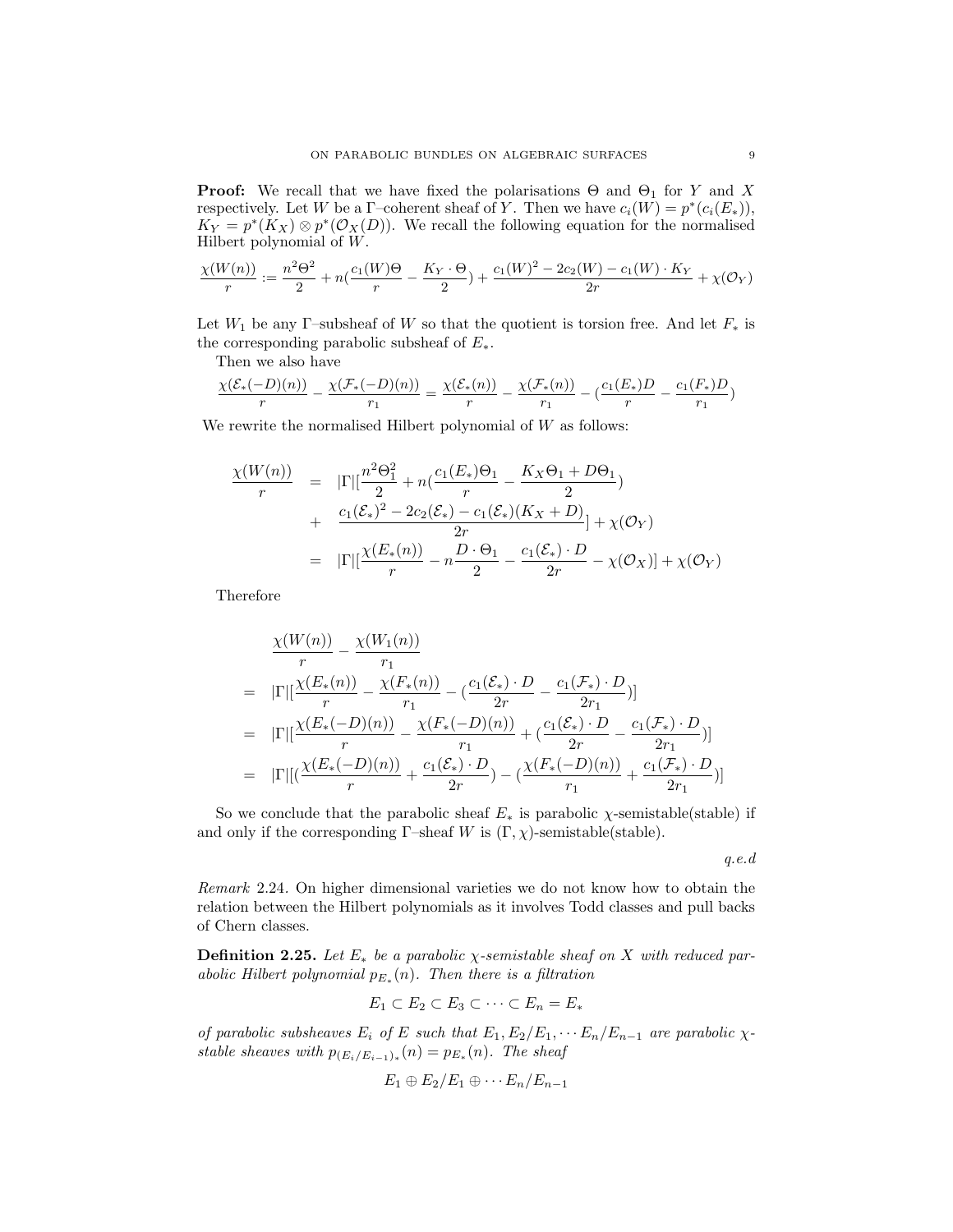**Proof:** We recall that we have fixed the polarisations  $\Theta$  and  $\Theta_1$  for Y and X respectively. Let W be a  $\Gamma$ -coherent sheaf of Y. Then we have  $c_i(W) = p^*(c_i(E_*))$ ,  $K_Y = p^*(K_X) \otimes p^*(\mathcal{O}_X(D)).$  We recall the following equation for the normalised Hilbert polynomial of W.

$$
\frac{\chi(W(n))}{r} := \frac{n^2 \Theta^2}{2} + n\left(\frac{c_1(W)\Theta}{r} - \frac{K_Y \cdot \Theta}{2}\right) + \frac{c_1(W)^2 - 2c_2(W) - c_1(W) \cdot K_Y}{2r} + \chi(\mathcal{O}_Y)
$$

Let  $W_1$  be any Γ–subsheaf of W so that the quotient is torsion free. And let  $F_*$  is the corresponding parabolic subsheaf of  $E_{\ast}$ .

Then we also have

$$
\frac{\chi(\mathcal{E}_*(-D)(n))}{r} - \frac{\chi(\mathcal{F}_*(-D)(n))}{r_1} = \frac{\chi(\mathcal{E}_*(n))}{r} - \frac{\chi(\mathcal{F}_*(n))}{r_1} - (\frac{c_1(E_*)D}{r} - \frac{c_1(F_*)D}{r_1})
$$

We rewrite the normalised Hilbert polynomial of  $W$  as follows:

$$
\frac{\chi(W(n))}{r} = |\Gamma| \frac{n^2 \Theta_1^2}{2} + n \frac{c_1(E_*)\Theta_1}{r} - \frac{K_X \Theta_1 + D\Theta_1}{2} \n+ \frac{c_1(\mathcal{E}_*)^2 - 2c_2(\mathcal{E}_*) - c_1(\mathcal{E}_*)(K_X + D)}{2r} + \chi(\mathcal{O}_Y) \n= |\Gamma| \frac{\chi(E_*(n))}{r} - n \frac{D \cdot \Theta_1}{2} - \frac{c_1(\mathcal{E}_*) \cdot D}{2r} - \chi(\mathcal{O}_X)| + \chi(\mathcal{O}_Y)
$$

Therefore

$$
\frac{\chi(W(n))}{r} - \frac{\chi(W_1(n))}{r_1}
$$
\n
$$
= |\Gamma| \left[ \frac{\chi(E_*(n))}{r} - \frac{\chi(F_*(n))}{r_1} - \left( \frac{c_1(\mathcal{E}_*) \cdot D}{2r} - \frac{c_1(\mathcal{F}_*) \cdot D}{2r_1} \right) \right]
$$
\n
$$
= |\Gamma| \left[ \frac{\chi(E_*(-D)(n))}{r} - \frac{\chi(F_*(-D)(n))}{r_1} + \left( \frac{c_1(\mathcal{E}_*) \cdot D}{2r} - \frac{c_1(\mathcal{F}_*) \cdot D}{2r_1} \right) \right]
$$
\n
$$
= |\Gamma| \left[ \left( \frac{\chi(E_*(-D)(n))}{r} + \frac{c_1(\mathcal{E}_*) \cdot D}{2r} - \left( \frac{\chi(F_*(-D)(n))}{r_1} + \frac{c_1(\mathcal{F}_*) \cdot D}{2r_1} \right) \right]
$$

So we conclude that the parabolic sheaf  $E_*$  is parabolic  $\chi$ -semistable(stable) if and only if the corresponding  $\Gamma$ –sheaf W is  $(\Gamma, \chi)$ -semistable(stable).

q.e.d

Remark 2.24. On higher dimensional varieties we do not know how to obtain the relation between the Hilbert polynomials as it involves Todd classes and pull backs of Chern classes.

**Definition 2.25.** Let  $E_*$  be a parabolic  $\chi$ -semistable sheaf on X with reduced parabolic Hilbert polynomial  $p_{E_{*}}(n)$ . Then there is a filtration

$$
E_1 \subset E_2 \subset E_3 \subset \cdots \subset E_n = E_*
$$

of parabolic subsheaves  $E_i$  of E such that  $E_1, E_2/E_1, \cdots E_n/E_{n-1}$  are parabolic  $\chi$ stable sheaves with  $p_{(E_i/E_{i-1})_*}(n) = p_{E_*}(n)$ . The sheaf

$$
E_1\oplus E_2/E_1\oplus\cdots E_n/E_{n-1}
$$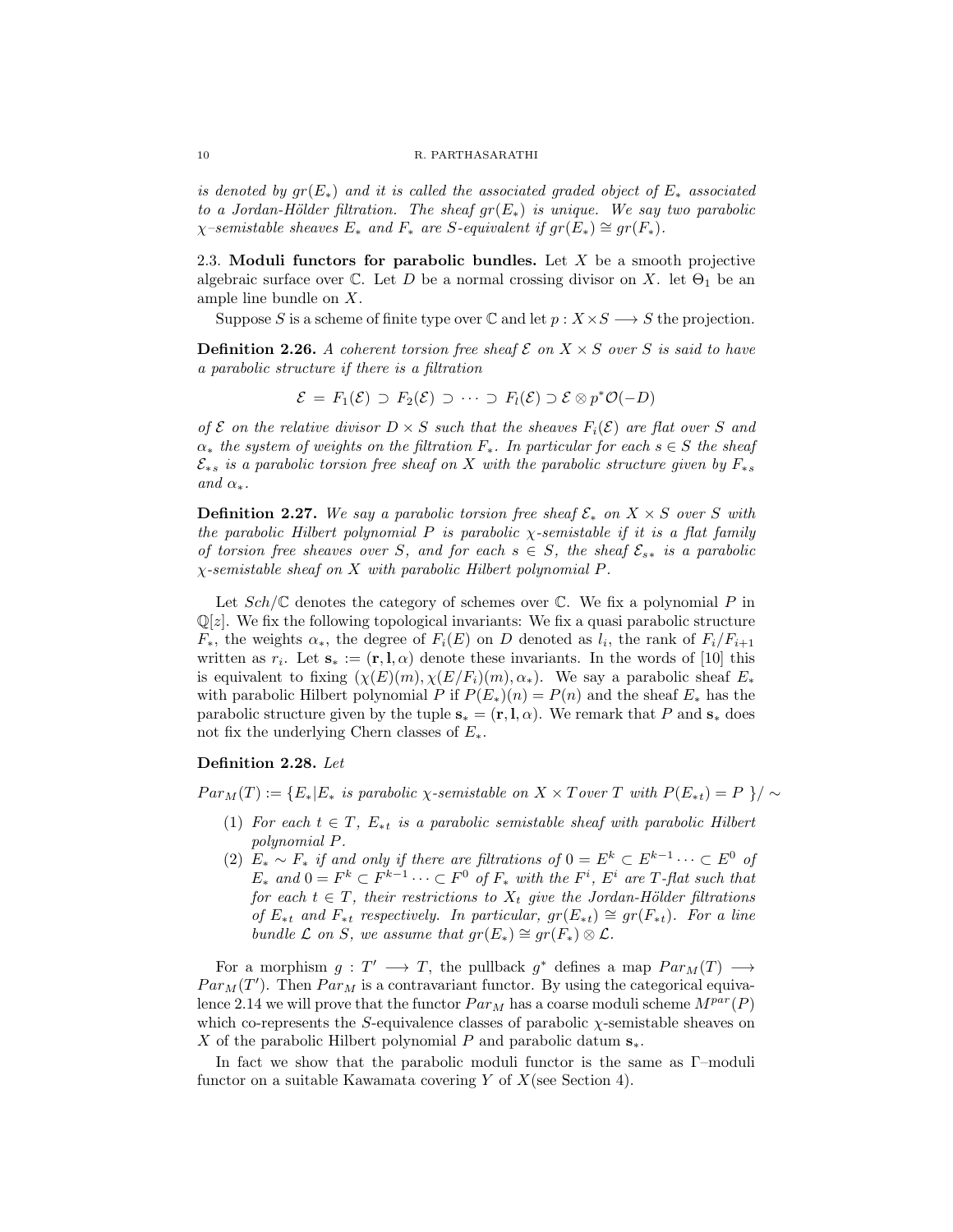#### 10 R. PARTHASARATHI

is denoted by  $gr(E_*)$  and it is called the associated graded object of  $E_*$  associated to a Jordan-Hölder filtration. The sheaf  $gr(E_*)$  is unique. We say two parabolic  $\chi$ –semistable sheaves  $E_*$  and  $F_*$  are S-equivalent if  $gr(E_*) \cong gr(F_*)$ .

2.3. Moduli functors for parabolic bundles. Let  $X$  be a smooth projective algebraic surface over  $\mathbb C$ . Let D be a normal crossing divisor on X. let  $\Theta_1$  be an ample line bundle on X.

Suppose S is a scheme of finite type over  $\mathbb C$  and let  $p : X \times S \longrightarrow S$  the projection.

**Definition 2.26.** A coherent torsion free sheaf  $\mathcal{E}$  on  $X \times S$  over S is said to have a parabolic structure if there is a filtration

$$
\mathcal{E} = F_1(\mathcal{E}) \supset F_2(\mathcal{E}) \supset \cdots \supset F_l(\mathcal{E}) \supset \mathcal{E} \otimes p^* \mathcal{O}(-D)
$$

of  $\mathcal E$  on the relative divisor  $D \times S$  such that the sheaves  $F_i(\mathcal E)$  are flat over S and  $\alpha_{*}$  the system of weights on the filtration  $F_{*}$ . In particular for each  $s \in S$  the sheaf  $\mathcal{E}_{*s}$  is a parabolic torsion free sheaf on X with the parabolic structure given by  $F_{*s}$ and  $\alpha_*$ .

**Definition 2.27.** We say a parabolic torsion free sheaf  $\mathcal{E}_*$  on  $X \times S$  over S with the parabolic Hilbert polynomial P is parabolic  $\chi$ -semistable if it is a flat family of torsion free sheaves over S, and for each  $s \in S$ , the sheaf  $\mathcal{E}_{s*}$  is a parabolic  $\chi$ -semistable sheaf on X with parabolic Hilbert polynomial P.

Let  $Sch/\mathbb{C}$  denotes the category of schemes over  $\mathbb{C}$ . We fix a polynomial P in  $\mathbb{Q}[z]$ . We fix the following topological invariants: We fix a quasi parabolic structure  $F_*$ , the weights  $\alpha_*$ , the degree of  $F_i(E)$  on D denoted as  $l_i$ , the rank of  $F_i/F_{i+1}$ written as  $r_i$ . Let  $\mathbf{s}_* := (\mathbf{r}, \mathbf{l}, \alpha)$  denote these invariants. In the words of [10] this is equivalent to fixing  $(\chi(E)(m), \chi(E/F_i)(m), \alpha_*)$ . We say a parabolic sheaf  $E_*$ with parabolic Hilbert polynomial P if  $P(E_*)(n) = P(n)$  and the sheaf  $E_*$  has the parabolic structure given by the tuple  $s_* = (r, l, \alpha)$ . We remark that P and  $s_*$  does not fix the underlying Chern classes of  $E_*$ .

## Definition 2.28. Let

 $Par_M(T) := \{E_* | E_* \text{ is parabolic } \chi\text{-semistable on } X \times T \text{ over } T \text{ with } P(E_{*t}) = P \} / \sim$ 

- (1) For each  $t \in T$ ,  $E_{*t}$  is a parabolic semistable sheaf with parabolic Hilbert polynomial P.
- (2)  $E_* \sim F_*$  if and only if there are filtrations of  $0 = E^k \subset E^{k-1} \cdots \subset E^0$  of  $E_*$  and  $0 = F^k \subset F^{k-1} \cdots \subset F^0$  of  $F_*$  with the  $F^i$ ,  $E^i$  are T-flat such that for each  $t \in T$ , their restrictions to  $X_t$  give the Jordan-Hölder filtrations of  $E_{*t}$  and  $F_{*t}$  respectively. In particular,  $gr(E_{*t}) \cong gr(F_{*t})$ . For a line bundle  $\mathcal L$  on S, we assume that  $gr(E_*) \cong gr(F_*) \otimes \mathcal L$ .

For a morphism  $g: T' \longrightarrow T$ , the pullback  $g^*$  defines a map  $Par_M(T) \longrightarrow$  $Par_M(T')$ . Then  $Par_M$  is a contravariant functor. By using the categorical equivalence 2.14 we will prove that the functor  $Par_M$  has a coarse moduli scheme  $M^{par}(P)$ which co-represents the S-equivalence classes of parabolic  $\chi$ -semistable sheaves on X of the parabolic Hilbert polynomial P and parabolic datum  $s_*$ .

In fact we show that the parabolic moduli functor is the same as Γ–moduli functor on a suitable Kawamata covering  $Y$  of  $X$ (see Section 4).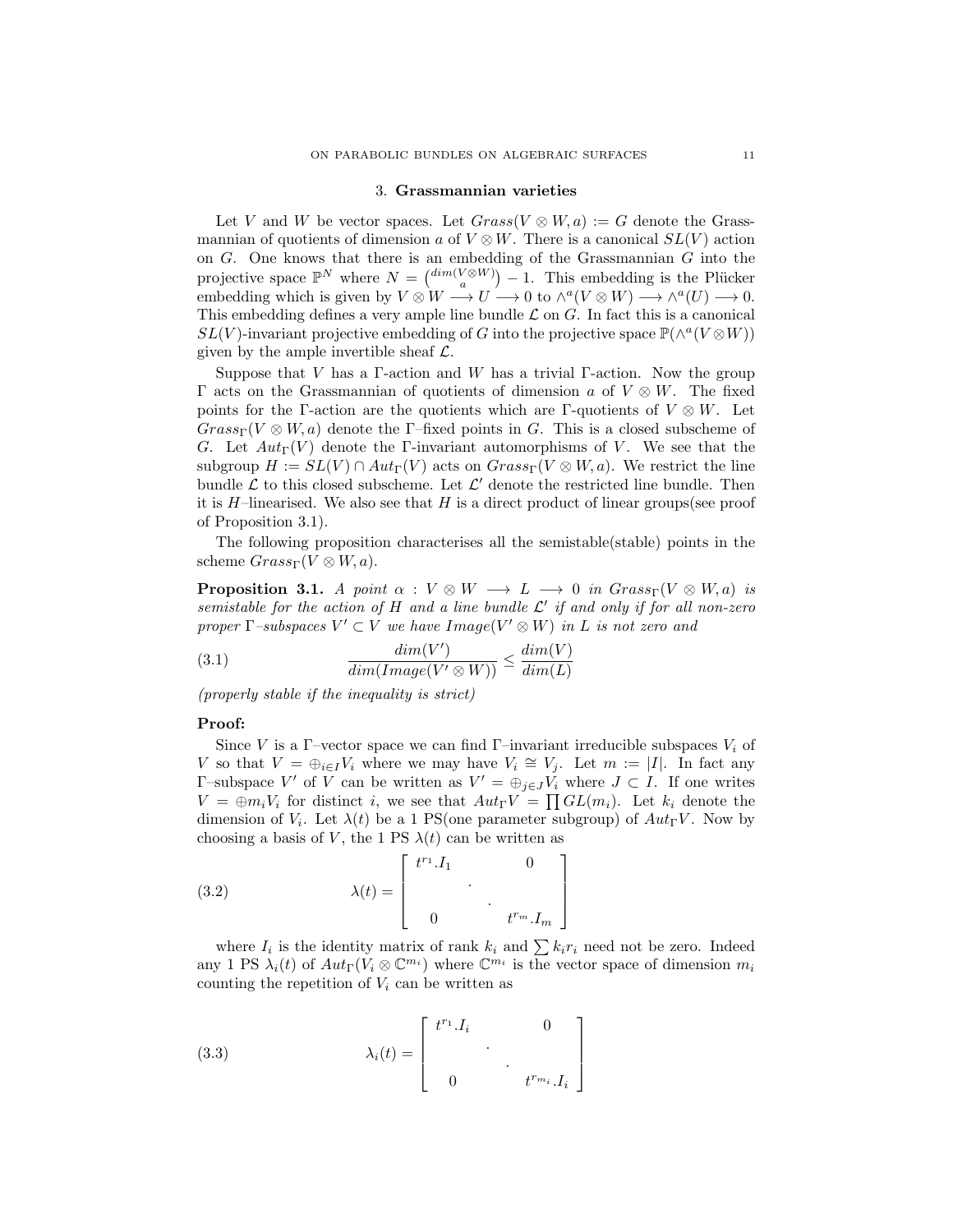#### 3. Grassmannian varieties

Let V and W be vector spaces. Let  $Grass(V \otimes W, a) := G$  denote the Grassmannian of quotients of dimension a of  $V \otimes W$ . There is a canonical  $SL(V)$  action on  $G$ . One knows that there is an embedding of the Grassmannian  $G$  into the projective space  $\mathbb{P}^N$  where  $N = \binom{dim(V \otimes W)}{a} - 1$ . This embedding is the Plücker embedding which is given by  $V \otimes W \longrightarrow U \longrightarrow 0$  to  $\wedge^a (V \otimes W) \longrightarrow \wedge^a (U) \longrightarrow 0$ . This embedding defines a very ample line bundle  $\mathcal L$  on  $G$ . In fact this is a canonical  $SL(V)$ -invariant projective embedding of G into the projective space  $\mathbb{P}(\wedge^a(V \otimes W))$ given by the ample invertible sheaf  $\mathcal{L}$ .

Suppose that V has a Γ-action and W has a trivial Γ-action. Now the group Γ acts on the Grassmannian of quotients of dimension a of  $V \otimes W$ . The fixed points for the Γ-action are the quotients which are Γ-quotients of  $V \otimes W$ . Let  $Grass_{\Gamma}(V \otimes W, a)$  denote the Γ–fixed points in G. This is a closed subscheme of G. Let  $Aut_{\Gamma}(V)$  denote the Γ-invariant automorphisms of V. We see that the subgroup  $H := SL(V) \cap Aut_{\Gamma}(V)$  acts on  $Grass_{\Gamma}(V \otimes W, a)$ . We restrict the line bundle  $\mathcal L$  to this closed subscheme. Let  $\mathcal L'$  denote the restricted line bundle. Then it is  $H$ -linearised. We also see that  $H$  is a direct product of linear groups(see proof of Proposition 3.1).

The following proposition characterises all the semistable(stable) points in the scheme  $Grass_{\Gamma}(V \otimes W, a)$ .

**Proposition 3.1.** A point  $\alpha : V \otimes W \longrightarrow L \longrightarrow 0$  in  $Grass_{\Gamma}(V \otimes W, a)$  is semistable for the action of H and a line bundle  $\mathcal{L}'$  if and only if for all non-zero proper  $\Gamma$ -subspaces  $V' \subset V$  we have  $Image(V' \otimes W)$  in L is not zero and

(3.1) 
$$
\frac{dim(V')}{dim(Image(V' \otimes W))} \le \frac{dim(V)}{dim(L)}
$$

(properly stable if the inequality is strict)

### Proof:

Since V is a Γ–vector space we can find Γ–invariant irreducible subspaces  $V_i$  of V so that  $V = \bigoplus_{i \in I} V_i$  where we may have  $V_i \cong V_j$ . Let  $m := |I|$ . In fact any Γ–subspace V' of V can be written as  $V' = \bigoplus_{j \in J} V_i$  where  $J \subset I$ . If one writes  $V = \bigoplus m_i V_i$  for distinct i, we see that  $Aut_{\Gamma} V = \prod GL(m_i)$ . Let  $k_i$  denote the dimension of  $V_i$ . Let  $\lambda(t)$  be a 1 PS(one parameter subgroup) of  $Aut_{\Gamma}V$ . Now by choosing a basis of V, the 1 PS  $\lambda(t)$  can be written as

(3.2) 
$$
\lambda(t) = \begin{bmatrix} t^{r_1} . I_1 & 0 \\ 0 & t^{r_m} . I_m \end{bmatrix}
$$

where  $I_i$  is the identity matrix of rank  $k_i$  and  $\sum k_i r_i$  need not be zero. Indeed any 1 PS  $\lambda_i(t)$  of  $Aut_\Gamma(V_i \otimes \mathbb{C}^{m_i})$  where  $\mathbb{C}^{m_i}$  is the vector space of dimension  $m_i$ counting the repetition of  $V_i$  can be written as

(3.3) 
$$
\lambda_i(t) = \begin{bmatrix} t^{r_1} I_i & 0 \\ 0 & t^{r_{m_i}} I_i \end{bmatrix}
$$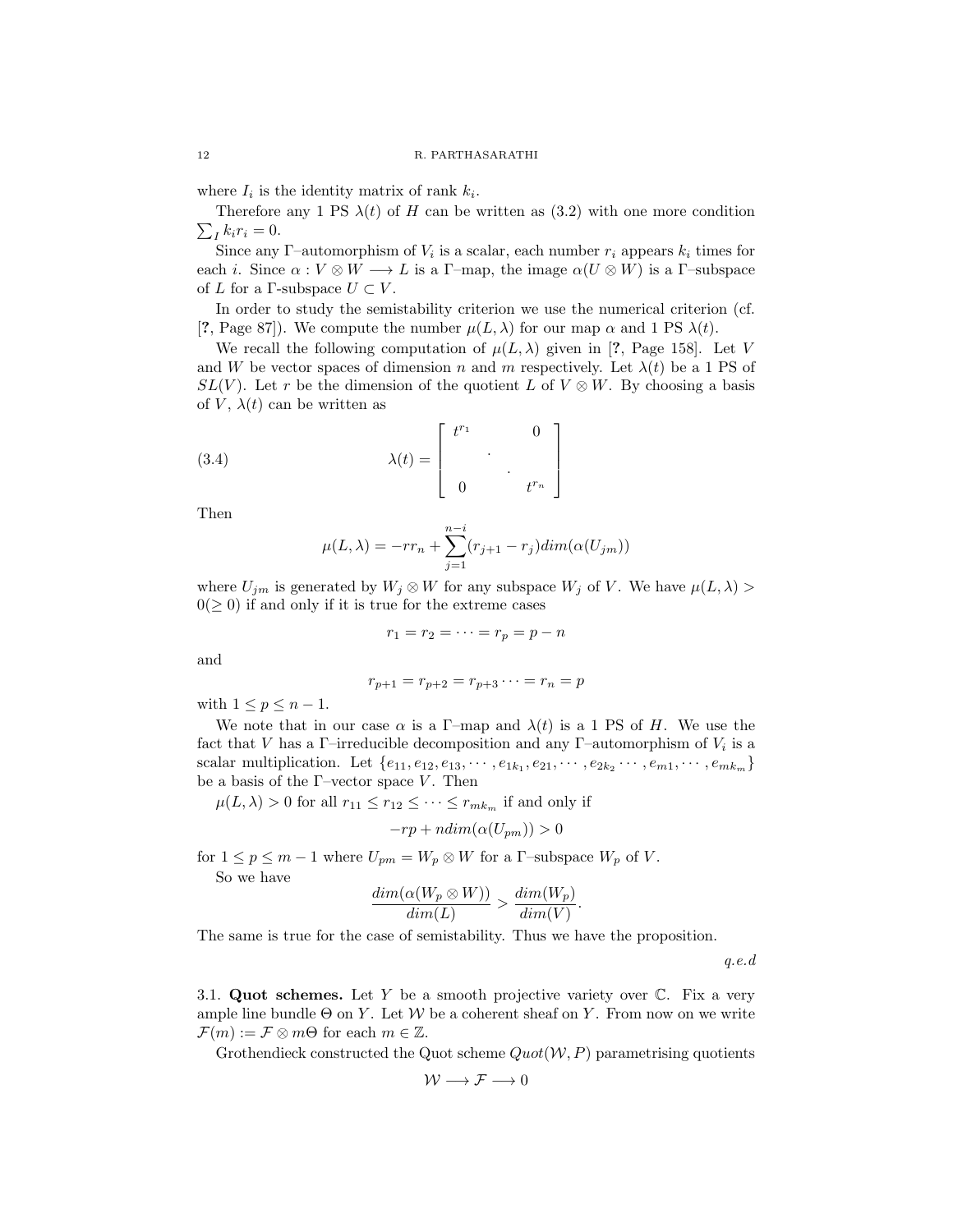where  $I_i$  is the identity matrix of rank  $k_i$ .

 $\sum_{I} k_i r_i = 0.$ Therefore any 1 PS  $\lambda(t)$  of H can be written as (3.2) with one more condition

Since any  $\Gamma$ -automorphism of  $V_i$  is a scalar, each number  $r_i$  appears  $k_i$  times for each i. Since  $\alpha: V \otimes W \longrightarrow L$  is a  $\Gamma$ -map, the image  $\alpha(U \otimes W)$  is a  $\Gamma$ -subspace of L for a Γ-subspace  $U \subset V$ .

In order to study the semistability criterion we use the numerical criterion (cf. [?, Page 87]). We compute the number  $\mu(L, \lambda)$  for our map  $\alpha$  and 1 PS  $\lambda(t)$ .

We recall the following computation of  $\mu(L, \lambda)$  given in [?, Page 158]. Let V and W be vector spaces of dimension n and m respectively. Let  $\lambda(t)$  be a 1 PS of  $SL(V)$ . Let r be the dimension of the quotient L of  $V \otimes W$ . By choosing a basis of V,  $\lambda(t)$  can be written as

(3.4) 
$$
\lambda(t) = \begin{bmatrix} t^{r_1} & 0 \\ 0 & t^{r_n} \end{bmatrix}
$$

Then

$$
\mu(L, \lambda) = -rr_n + \sum_{j=1}^{n-i} (r_{j+1} - r_j) dim(\alpha(U_{jm}))
$$

where  $U_{jm}$  is generated by  $W_j \otimes W$  for any subspace  $W_j$  of V. We have  $\mu(L, \lambda)$  $0(\geq 0)$  if and only if it is true for the extreme cases

$$
r_1 = r_2 = \cdots = r_p = p - n
$$

and

$$
r_{p+1} = r_{p+2} = r_{p+3} \cdots = r_n = p
$$

with  $1 \leq p \leq n-1$ .

We note that in our case  $\alpha$  is a Γ–map and  $\lambda(t)$  is a 1 PS of H. We use the fact that V has a Γ-irreducible decomposition and any Γ-automorphism of  $V_i$  is a scalar multiplication. Let  $\{e_{11}, e_{12}, e_{13}, \cdots, e_{1k_1}, e_{21}, \cdots, e_{2k_2} \cdots, e_{m1}, \cdots, e_{mk_m}\}\$ be a basis of the  $\Gamma$ -vector space V. Then

$$
\mu(L, \lambda) > 0
$$
 for all  $r_{11} \le r_{12} \le \cdots \le r_{mk_m}$  if and only if

$$
-rp + ndim(\alpha(U_{pm})) > 0
$$

for  $1\leq p\leq m-1$  where  $U_{pm}=W_p\otimes W$  for a  $\Gamma\text{-subspace }W_p$  of  $V.$ 

So we have

$$
\frac{dim(\alpha(W_p \otimes W))}{dim(L)} > \frac{dim(W_p)}{dim(V)}.
$$

The same is true for the case of semistability. Thus we have the proposition.

q.e.d

3.1. Quot schemes. Let Y be a smooth projective variety over  $\mathbb C$ . Fix a very ample line bundle  $\Theta$  on Y. Let W be a coherent sheaf on Y. From now on we write  $\mathcal{F}(m) := \mathcal{F} \otimes m\Theta$  for each  $m \in \mathbb{Z}$ .

Grothendieck constructed the Quot scheme  $Quot(\mathcal{W}, P)$  parametrising quotients

$$
\mathcal{W}\longrightarrow \mathcal{F}\longrightarrow 0
$$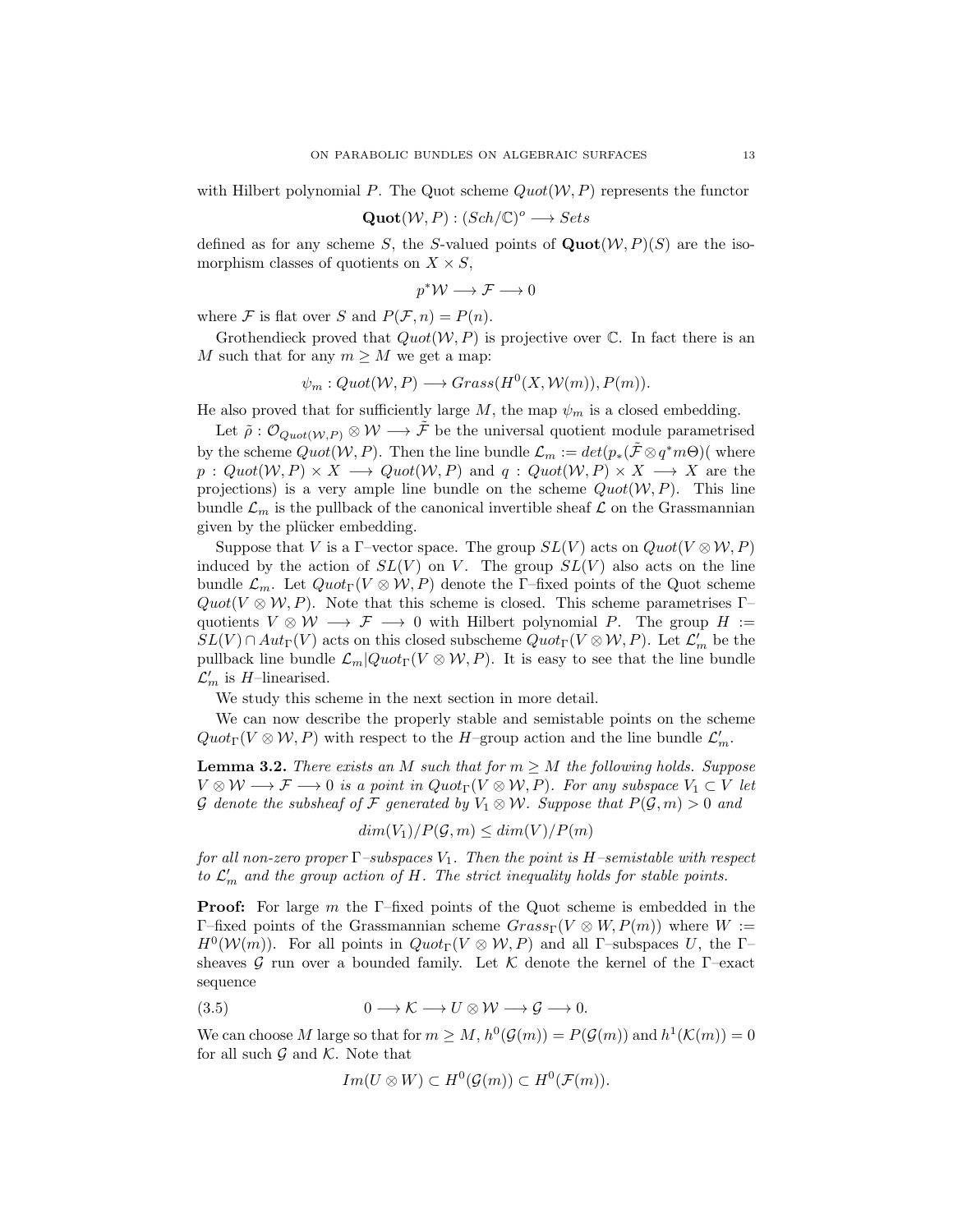with Hilbert polynomial P. The Quot scheme  $Quot(\mathcal{W}, P)$  represents the functor

$$
\mathbf{Quot}(\mathcal{W}, P) : (Sch/\mathbb{C})^o \longrightarrow Sets
$$

defined as for any scheme S, the S-valued points of  $\text{Quot}(\mathcal{W}, P)(S)$  are the isomorphism classes of quotients on  $X \times S$ ,

$$
p^* \mathcal{W} \longrightarrow \mathcal{F} \longrightarrow 0
$$

where F is flat over S and  $P(F, n) = P(n)$ .

Grothendieck proved that  $Quot(W, P)$  is projective over  $\mathbb C$ . In fact there is an M such that for any  $m \geq M$  we get a map:

$$
\psi_m: Quot(W, P) \longrightarrow Grass(H^0(X, \mathcal{W}(m)), P(m)).
$$

He also proved that for sufficiently large  $M$ , the map  $\psi_m$  is a closed embedding.

Let  $\tilde{\rho}: \mathcal{O}_{Quot(W,P)} \otimes W \longrightarrow \tilde{\mathcal{F}}$  be the universal quotient module parametrised by the scheme  $Quot(W, P)$ . Then the line bundle  $\mathcal{L}_m := det(p_*(\tilde{\mathcal{F}} \otimes q^*m\Theta))$  where  $p: Quot(W, P) \times X \longrightarrow Quot(W, P)$  and  $q: Quot(W, P) \times X \longrightarrow X$  are the projections) is a very ample line bundle on the scheme  $Quot(\mathcal{W}, P)$ . This line bundle  $\mathcal{L}_m$  is the pullback of the canonical invertible sheaf  $\mathcal L$  on the Grassmannian given by the plücker embedding.

Suppose that V is a Γ–vector space. The group  $SL(V)$  acts on  $Quot(V \otimes W, P)$ induced by the action of  $SL(V)$  on V. The group  $SL(V)$  also acts on the line bundle  $\mathcal{L}_m$ . Let  $Quot_{\Gamma}(V \otimes \mathcal{W}, P)$  denote the Γ–fixed points of the Quot scheme  $Quot(V \otimes W, P)$ . Note that this scheme is closed. This scheme parametrises Γquotients  $V \otimes W \longrightarrow \mathcal{F} \longrightarrow 0$  with Hilbert polynomial P. The group  $H :=$  $SL(V) \cap Aut_{\Gamma}(V)$  acts on this closed subscheme  $Quot_{\Gamma}(V \otimes W, P)$ . Let  $\mathcal{L}'_m$  be the pullback line bundle  $\mathcal{L}_m|Quot_{\Gamma}(V \otimes W, P)$ . It is easy to see that the line bundle  $\mathcal{L}'_m$  is H-linearised.

We study this scheme in the next section in more detail.

We can now describe the properly stable and semistable points on the scheme  $Quot_{\Gamma}(V \otimes W, P)$  with respect to the H-group action and the line bundle  $\mathcal{L}'_m$ .

**Lemma 3.2.** There exists an M such that for  $m \geq M$  the following holds. Suppose  $V \otimes W \longrightarrow \mathcal{F} \longrightarrow 0$  is a point in  $Quot_{\Gamma}(V \otimes W, P)$ . For any subspace  $V_1 \subset V$  let G denote the subsheaf of F generated by  $V_1 \otimes W$ . Suppose that  $P(\mathcal{G}, m) > 0$  and

$$
dim(V_1)/P(\mathcal{G},m) \leq dim(V)/P(m)
$$

for all non-zero proper  $\Gamma$ –subspaces  $V_1$ . Then the point is H–semistable with respect to  $\mathcal{L}'_m$  and the group action of H. The strict inequality holds for stable points.

Proof: For large m the Γ–fixed points of the Quot scheme is embedded in the Γ–fixed points of the Grassmannian scheme  $Grass_\Gamma(V \otimes W, P(m))$  where  $W :=$  $H^0(\mathcal{W}(m))$ . For all points in  $Quot_{\Gamma}(V \otimes W, P)$  and all  $\Gamma$ -subspaces U, the  $\Gamma$ sheaves G run over a bounded family. Let K denote the kernel of the  $\Gamma$ -exact sequence

$$
(3.5) \t 0 \longrightarrow \mathcal{K} \longrightarrow U \otimes \mathcal{W} \longrightarrow \mathcal{G} \longrightarrow 0.
$$

We can choose M large so that for  $m \geq M$ ,  $h^0(\mathcal{G}(m)) = P(\mathcal{G}(m))$  and  $h^1(\mathcal{K}(m)) = 0$ for all such  $\mathcal G$  and  $\mathcal K$ . Note that

$$
Im(U \otimes W) \subset H^0(\mathcal{G}(m)) \subset H^0(\mathcal{F}(m)).
$$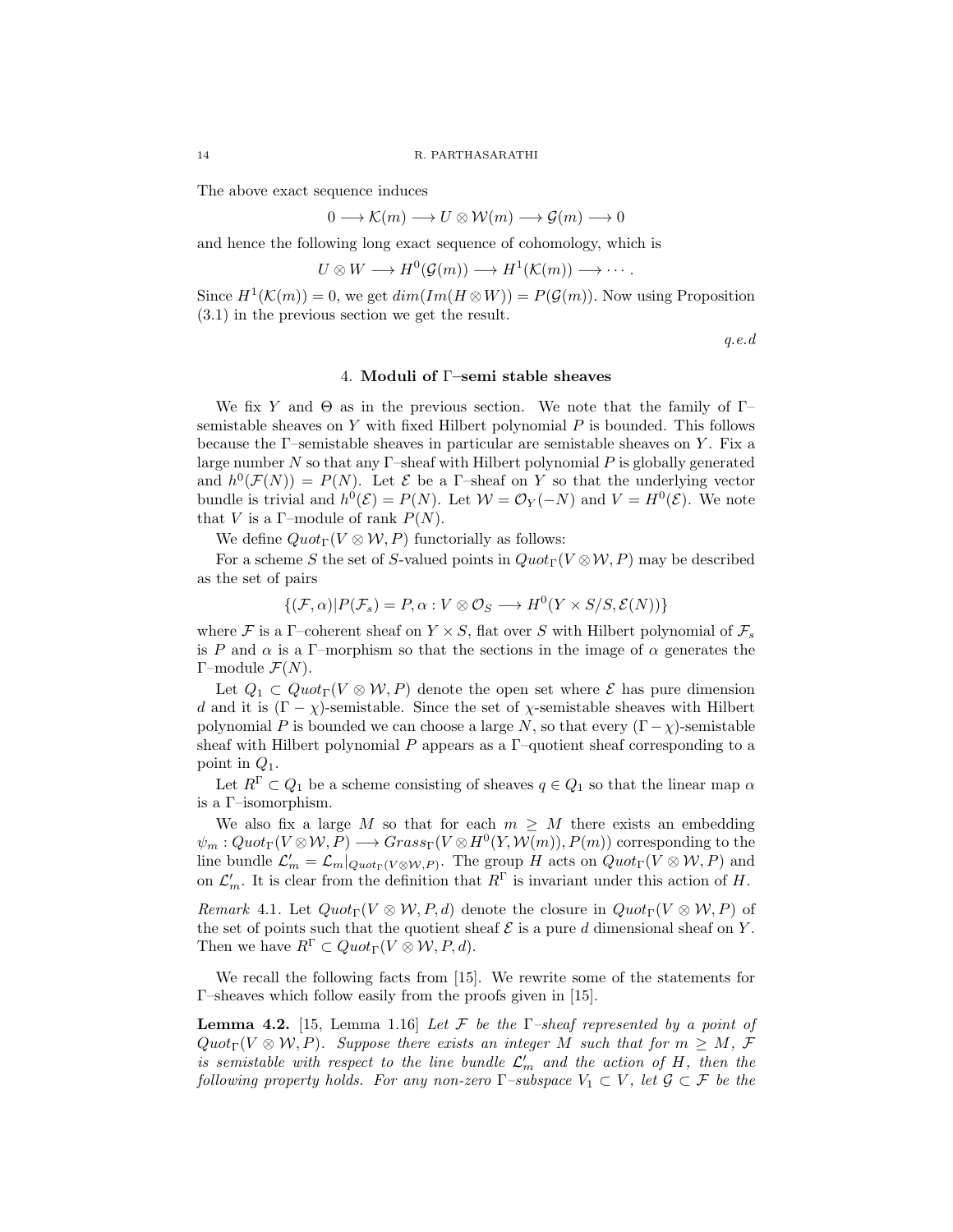The above exact sequence induces

$$
0 \longrightarrow \mathcal{K}(m) \longrightarrow U \otimes \mathcal{W}(m) \longrightarrow \mathcal{G}(m) \longrightarrow 0
$$

and hence the following long exact sequence of cohomology, which is

$$
U \otimes W \longrightarrow H^0(\mathcal{G}(m)) \longrightarrow H^1(\mathcal{K}(m)) \longrightarrow \cdots.
$$

Since  $H^1(\mathcal{K}(m)) = 0$ , we get  $dim(Im(H \otimes W)) = P(\mathcal{G}(m))$ . Now using Proposition (3.1) in the previous section we get the result.

q.e.d

## 4. Moduli of Γ–semi stable sheaves

We fix Y and  $\Theta$  as in the previous section. We note that the family of  $\Gamma$ semistable sheaves on  $Y$  with fixed Hilbert polynomial  $P$  is bounded. This follows because the Γ–semistable sheaves in particular are semistable sheaves on Y . Fix a large number  $N$  so that any  $\Gamma$ -sheaf with Hilbert polynomial  $P$  is globally generated and  $h^0(\mathcal{F}(N)) = P(N)$ . Let  $\mathcal E$  be a  $\Gamma$ -sheaf on Y so that the underlying vector bundle is trivial and  $h^0(\mathcal{E}) = P(N)$ . Let  $\mathcal{W} = \mathcal{O}_Y(-N)$  and  $V = H^0(\mathcal{E})$ . We note that V is a Γ-module of rank  $P(N)$ .

We define  $Quot_{\Gamma}(V \otimes W, P)$  functorially as follows:

For a scheme S the set of S-valued points in  $Quot<sub>Γ</sub>(V \otimes W, P)$  may be described as the set of pairs

$$
\{(\mathcal{F}, \alpha)|P(\mathcal{F}_s) = P, \alpha: V \otimes \mathcal{O}_S \longrightarrow H^0(Y \times S/S, \mathcal{E}(N))\}
$$

where F is a Γ–coherent sheaf on  $Y \times S$ , flat over S with Hilbert polynomial of  $\mathcal{F}_s$ is P and  $\alpha$  is a Γ–morphism so that the sections in the image of  $\alpha$  generates the Γ–module  $\mathcal{F}(N)$ .

Let  $Q_1 \subset Quot_{\Gamma}(V \otimes W, P)$  denote the open set where  $\mathcal E$  has pure dimension d and it is  $(\Gamma - \chi)$ -semistable. Since the set of  $\chi$ -semistable sheaves with Hilbert polynomial P is bounded we can choose a large N, so that every  $(\Gamma - \chi)$ -semistable sheaf with Hilbert polynomial  $P$  appears as a  $\Gamma$ -quotient sheaf corresponding to a point in  $Q_1$ .

Let  $R^{\Gamma}\subset Q_1$  be a scheme consisting of sheaves  $q\in Q_1$  so that the linear map  $\alpha$ is a Γ–isomorphism.

We also fix a large M so that for each  $m > M$  there exists an embedding  $\psi_m:Quot_{\Gamma}(V\otimes W, P) \longrightarrow Grass_{\Gamma}(V\otimes H^0(Y, W(m)), P(m))$  corresponding to the line bundle  $\mathcal{L}'_m = \mathcal{L}_m|_{Quot_{\Gamma}(V \otimes W, P)}$ . The group H acts on  $Quot_{\Gamma}(V \otimes W, P)$  and on  $\mathcal{L}'_m$ . It is clear from the definition that  $R^{\Gamma}$  is invariant under this action of H.

Remark 4.1. Let  $Quot_{\Gamma}(V \otimes W, P, d)$  denote the closure in  $Quot_{\Gamma}(V \otimes W, P)$  of the set of points such that the quotient sheaf  $\mathcal E$  is a pure d dimensional sheaf on Y. Then we have  $R^{\Gamma} \subset Quot_{\Gamma}(V \otimes W, P, d)$ .

We recall the following facts from [15]. We rewrite some of the statements for Γ–sheaves which follow easily from the proofs given in [15].

**Lemma 4.2.** [15, Lemma 1.16] Let F be the  $\Gamma$ -sheaf represented by a point of  $Quot<sub>Γ</sub>(V \otimes W, P)$ . Suppose there exists an integer M such that for  $m \geq M$ , F is semistable with respect to the line bundle  $\mathcal{L}'_m$  and the action of H, then the following property holds. For any non-zero  $\Gamma$ -subspace  $V_1 \subset V$ , let  $\mathcal{G} \subset \mathcal{F}$  be the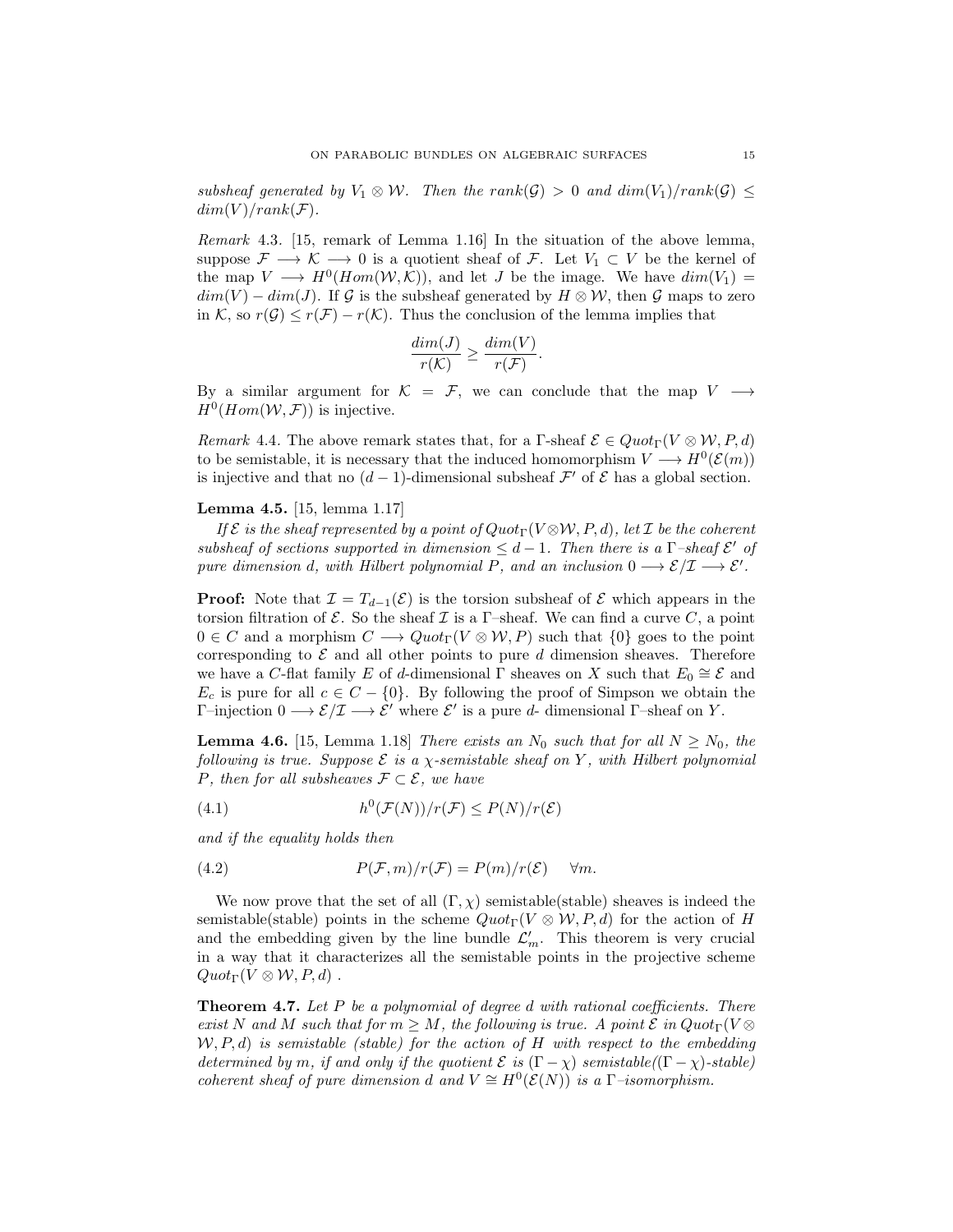subsheaf generated by  $V_1 \otimes W$ . Then the rank $(G) > 0$  and  $dim(V_1)/rank(G) \leq$  $dim(V)/rank(F)$ .

Remark 4.3. [15, remark of Lemma 1.16] In the situation of the above lemma, suppose  $\mathcal{F} \longrightarrow \mathcal{K} \longrightarrow 0$  is a quotient sheaf of  $\mathcal{F}$ . Let  $V_1 \subset V$  be the kernel of the map  $V \longrightarrow H^0(Hom(W, \mathcal{K}))$ , and let J be the image. We have  $dim(V_1)$  $dim(V) - dim(J)$ . If G is the subsheaf generated by  $H \otimes W$ , then G maps to zero in K, so  $r(\mathcal{G}) \leq r(\mathcal{F}) - r(\mathcal{K})$ . Thus the conclusion of the lemma implies that

$$
\frac{dim(J)}{r(\mathcal{K})} \ge \frac{dim(V)}{r(\mathcal{F})}.
$$

By a similar argument for  $\mathcal{K} = \mathcal{F}$ , we can conclude that the map  $V \longrightarrow$  $H^0(Hom(\mathcal{W}, \mathcal{F}))$  is injective.

Remark 4.4. The above remark states that, for a  $\Gamma$ -sheaf  $\mathcal{E} \in Quot_{\Gamma}(V \otimes \mathcal{W}, P, d)$ to be semistable, it is necessary that the induced homomorphism  $V \longrightarrow H^0(\mathcal{E}(m))$ is injective and that no  $(d-1)$ -dimensional subsheaf  $\mathcal{F}'$  of  $\mathcal{E}$  has a global section.

### Lemma 4.5. [15, lemma 1.17]

If  $\mathcal E$  is the sheaf represented by a point of Quot<sub>Γ</sub>(V\\mathbbs}V, P, d), let I be the coherent subsheaf of sections supported in dimension  $\leq d-1$ . Then there is a  $\Gamma$ -sheaf  $\mathcal{E}'$  of pure dimension d, with Hilbert polynomial P, and an inclusion  $0 \longrightarrow \mathcal{E}/\mathcal{I} \longrightarrow \mathcal{E}'$ .

**Proof:** Note that  $\mathcal{I} = T_{d-1}(\mathcal{E})$  is the torsion subsheaf of  $\mathcal{E}$  which appears in the torsion filtration of E. So the sheaf I is a Γ-sheaf. We can find a curve C, a point  $0 \in C$  and a morphism  $C \longrightarrow Quot_{\Gamma}(V \otimes W, P)$  such that  $\{0\}$  goes to the point corresponding to  $\mathcal E$  and all other points to pure d dimension sheaves. Therefore we have a C-flat family E of d-dimensional  $\Gamma$  sheaves on X such that  $E_0 \cong \mathcal{E}$  and  $E_c$  is pure for all  $c \in C - \{0\}$ . By following the proof of Simpson we obtain the  $\Gamma$ -injection  $0 \longrightarrow \mathcal{E}/\mathcal{I} \longrightarrow \mathcal{E}'$  where  $\mathcal{E}'$  is a pure d- dimensional  $\Gamma$ -sheaf on Y.

**Lemma 4.6.** [15, Lemma 1.18] There exists an  $N_0$  such that for all  $N \geq N_0$ , the following is true. Suppose  $\mathcal E$  is a  $\chi$ -semistable sheaf on Y, with Hilbert polynomial P, then for all subsheaves  $\mathcal{F} \subset \mathcal{E}$ , we have

(4.1) 
$$
h^0(\mathcal{F}(N))/r(\mathcal{F}) \le P(N)/r(\mathcal{E})
$$

and if the equality holds then

(4.2) 
$$
P(\mathcal{F},m)/r(\mathcal{F}) = P(m)/r(\mathcal{E}) \quad \forall m.
$$

We now prove that the set of all  $(\Gamma, \chi)$  semistable(stable) sheaves is indeed the semistable(stable) points in the scheme  $Quot_{\Gamma}(V \otimes W, P, d)$  for the action of H and the embedding given by the line bundle  $\mathcal{L}'_m$ . This theorem is very crucial in a way that it characterizes all the semistable points in the projective scheme  $Quot_{\Gamma}(V \otimes W, P, d)$ .

**Theorem 4.7.** Let P be a polynomial of degree d with rational coefficients. There exist N and M such that for  $m \geq M$ , the following is true. A point  $\mathcal E$  in  $Quot_{\Gamma}(V \otimes$  $W, P, d$ ) is semistable (stable) for the action of H with respect to the embedding determined by m, if and only if the quotient  $\mathcal E$  is  $(\Gamma - \chi)$  semistable( $(\Gamma - \chi)$ -stable) coherent sheaf of pure dimension d and  $V \cong H^{0}(\mathcal{E}(N))$  is a  $\Gamma$ -isomorphism.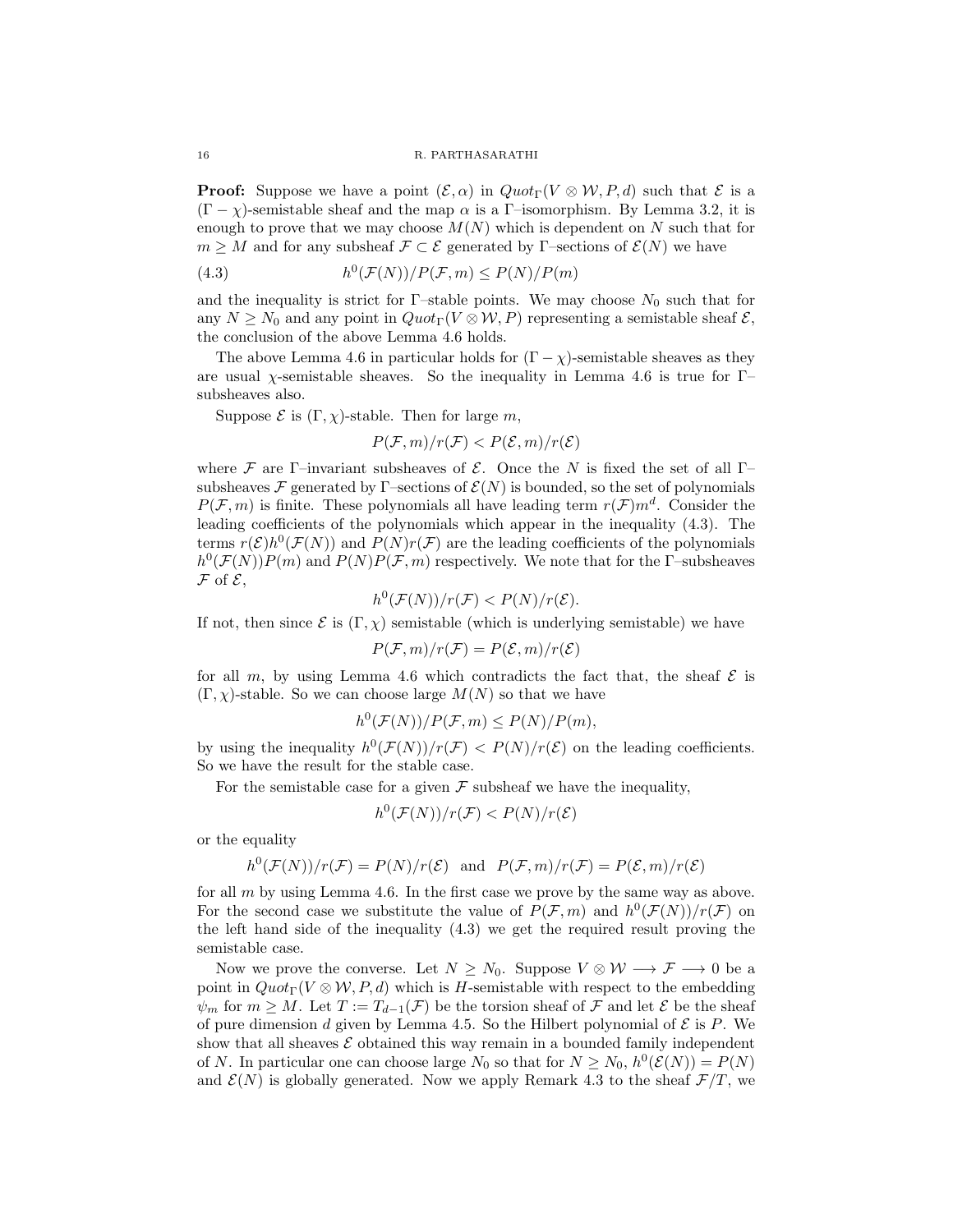#### 16 R. PARTHASARATHI

**Proof:** Suppose we have a point  $(\mathcal{E}, \alpha)$  in  $Quot<sub>Γ</sub>(V \otimes W, P, d)$  such that  $\mathcal{E}$  is a  $(\Gamma - \chi)$ -semistable sheaf and the map  $\alpha$  is a  $\Gamma$ -isomorphism. By Lemma 3.2, it is enough to prove that we may choose  $M(N)$  which is dependent on N such that for  $m \geq M$  and for any subsheaf  $\mathcal{F} \subset \mathcal{E}$  generated by Γ–sections of  $\mathcal{E}(N)$  we have

(4.3) 
$$
h^0(\mathcal{F}(N))/P(\mathcal{F},m) \le P(N)/P(m)
$$

and the inequality is strict for  $\Gamma$ -stable points. We may choose  $N_0$  such that for any  $N \geq N_0$  and any point in  $Quot_{\Gamma}(V \otimes W, P)$  representing a semistable sheaf  $\mathcal{E},$ the conclusion of the above Lemma 4.6 holds.

The above Lemma 4.6 in particular holds for  $(\Gamma - \chi)$ -semistable sheaves as they are usual  $\chi$ -semistable sheaves. So the inequality in Lemma 4.6 is true for Γ– subsheaves also.

Suppose  $\mathcal E$  is  $(\Gamma, \chi)$ -stable. Then for large m,

$$
P(\mathcal{F}, m)/r(\mathcal{F}) < P(\mathcal{E}, m)/r(\mathcal{E})
$$

where F are Γ–invariant subsheaves of  $\mathcal E$ . Once the N is fixed the set of all Γ– subsheaves F generated by Γ–sections of  $\mathcal{E}(N)$  is bounded, so the set of polynomials  $P(\mathcal{F}, m)$  is finite. These polynomials all have leading term  $r(\mathcal{F})m^d$ . Consider the leading coefficients of the polynomials which appear in the inequality (4.3). The terms  $r(\mathcal{E})h^0(\mathcal{F}(N))$  and  $P(N)r(\mathcal{F})$  are the leading coefficients of the polynomials  $h^0(\mathcal{F}(N))P(m)$  and  $P(N)P(\mathcal{F},m)$  respectively. We note that for the  $\Gamma$ -subsheaves  ${\mathcal F}$  of  ${\mathcal E},$ 

$$
h^0(\mathcal{F}(N))/r(\mathcal{F}) < P(N)/r(\mathcal{E}).
$$

If not, then since  $\mathcal{E}$  is  $(\Gamma, \chi)$  semistable (which is underlying semistable) we have

$$
P(\mathcal{F}, m)/r(\mathcal{F}) = P(\mathcal{E}, m)/r(\mathcal{E})
$$

for all m, by using Lemma 4.6 which contradicts the fact that, the sheaf  $\mathcal E$  is  $(\Gamma, \chi)$ -stable. So we can choose large  $M(N)$  so that we have

$$
h^{0}(\mathcal{F}(N))/P(\mathcal{F},m) \leq P(N)/P(m),
$$

by using the inequality  $h^0(\mathcal{F}(N))/r(\mathcal{F}) < P(N)/r(\mathcal{E})$  on the leading coefficients. So we have the result for the stable case.

For the semistable case for a given  $\mathcal F$  subsheaf we have the inequality,

$$
h^0(\mathcal{F}(N))/r(\mathcal{F}) < P(N)/r(\mathcal{E})
$$

or the equality

$$
h^0(\mathcal{F}(N))/r(\mathcal{F}) = P(N)/r(\mathcal{E})
$$
 and  $P(\mathcal{F}, m)/r(\mathcal{F}) = P(\mathcal{E}, m)/r(\mathcal{E})$ 

for all  $m$  by using Lemma 4.6. In the first case we prove by the same way as above. For the second case we substitute the value of  $P(\mathcal{F}, m)$  and  $h^0(\mathcal{F}(N))/r(\mathcal{F})$  on the left hand side of the inequality (4.3) we get the required result proving the semistable case.

Now we prove the converse. Let  $N \ge N_0$ . Suppose  $V \otimes W \longrightarrow \mathcal{F} \longrightarrow 0$  be a point in  $Quot_{\Gamma}(V \otimes W, P, d)$  which is H-semistable with respect to the embedding  $\psi_m$  for  $m \geq M$ . Let  $T := T_{d-1}(\mathcal{F})$  be the torsion sheaf of  $\mathcal F$  and let  $\mathcal E$  be the sheaf of pure dimension d given by Lemma 4.5. So the Hilbert polynomial of  $\mathcal E$  is P. We show that all sheaves  $\mathcal E$  obtained this way remain in a bounded family independent of N. In particular one can choose large  $N_0$  so that for  $N \ge N_0$ ,  $h^0(\mathcal{E}(N)) = P(N)$ and  $\mathcal{E}(N)$  is globally generated. Now we apply Remark 4.3 to the sheaf  $\mathcal{F}/T$ , we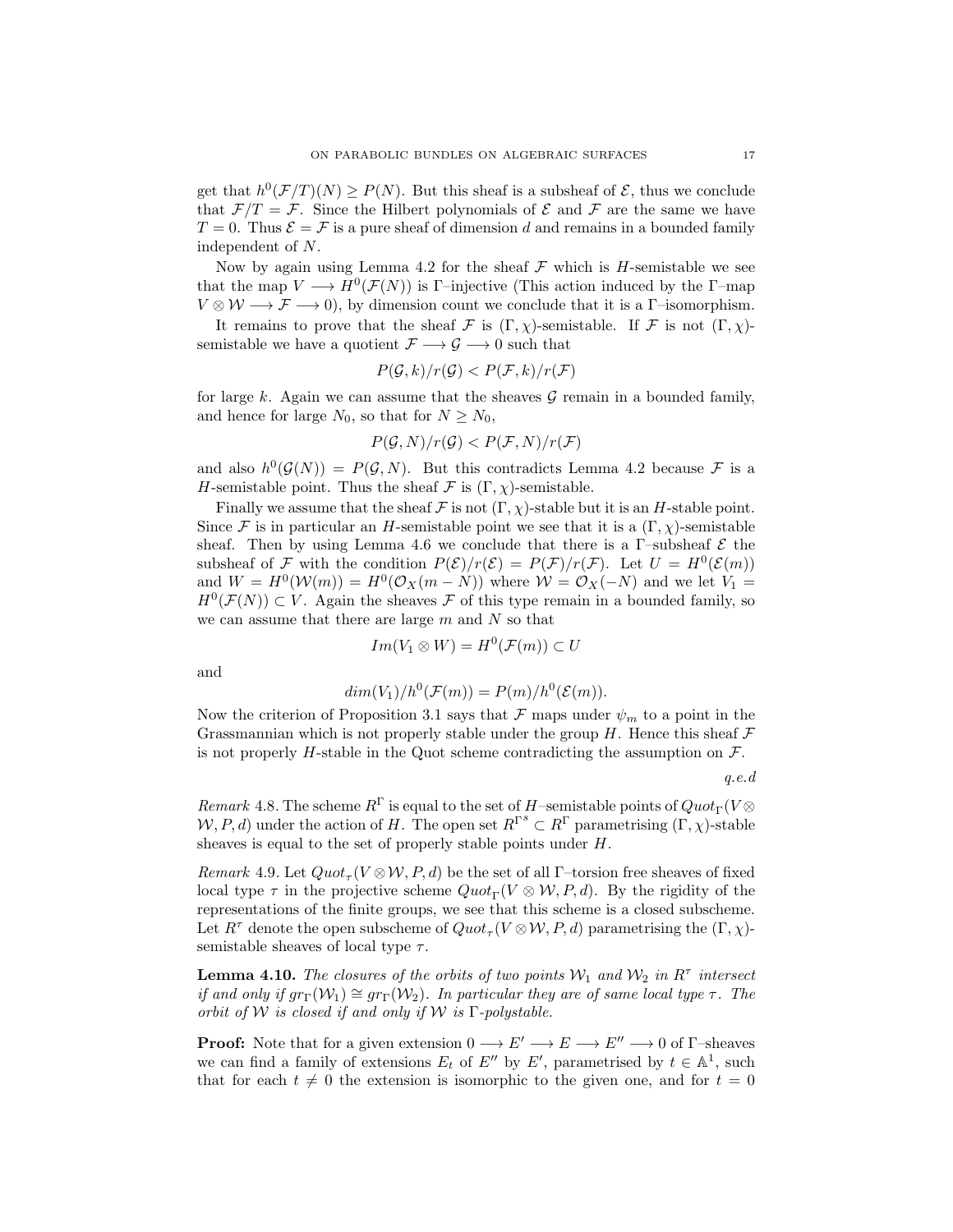get that  $h^0(\mathcal{F}/T)(N) \ge P(N)$ . But this sheaf is a subsheaf of  $\mathcal{E}$ , thus we conclude that  $\mathcal{F}/T = \mathcal{F}$ . Since the Hilbert polynomials of  $\mathcal E$  and  $\mathcal F$  are the same we have  $T = 0$ . Thus  $\mathcal{E} = \mathcal{F}$  is a pure sheaf of dimension d and remains in a bounded family independent of N.

Now by again using Lemma 4.2 for the sheaf  $\mathcal F$  which is  $H$ -semistable we see that the map  $V \longrightarrow H^0(\mathcal{F}(N))$  is Γ-injective (This action induced by the Γ-map  $V \otimes W \longrightarrow \mathcal{F} \longrightarrow 0$ , by dimension count we conclude that it is a  $\Gamma$ -isomorphism.

It remains to prove that the sheaf F is  $(\Gamma, \chi)$ -semistable. If F is not  $(\Gamma, \chi)$ semistable we have a quotient  $\mathcal{F} \longrightarrow \mathcal{G} \longrightarrow 0$  such that

$$
P(\mathcal{G}, k)/r(\mathcal{G}) < P(\mathcal{F}, k)/r(\mathcal{F})
$$

for large k. Again we can assume that the sheaves  $\mathcal G$  remain in a bounded family, and hence for large  $N_0$ , so that for  $N \ge N_0$ ,

$$
P(\mathcal{G}, N)/r(\mathcal{G}) < P(\mathcal{F}, N)/r(\mathcal{F})
$$

and also  $h^0(\mathcal{G}(N)) = P(\mathcal{G}, N)$ . But this contradicts Lemma 4.2 because F is a H-semistable point. Thus the sheaf  $\mathcal F$  is  $(\Gamma, \chi)$ -semistable.

Finally we assume that the sheaf F is not  $(\Gamma, \chi)$ -stable but it is an H-stable point. Since F is in particular an H-semistable point we see that it is a  $(\Gamma, \chi)$ -semistable sheaf. Then by using Lemma 4.6 we conclude that there is a  $\Gamma$ -subsheaf  $\mathcal E$  the subsheaf of F with the condition  $P(\mathcal{E})/r(\mathcal{E}) = P(\mathcal{F})/r(\mathcal{F})$ . Let  $U = H^0(\mathcal{E}(m))$ and  $W = H^0(\mathcal{W}(m)) = H^0(\mathcal{O}_X(m-N))$  where  $\mathcal{W} = \mathcal{O}_X(-N)$  and we let  $V_1 =$  $H^0(\mathcal{F}(N)) \subset V$ . Again the sheaves  $\mathcal F$  of this type remain in a bounded family, so we can assume that there are large  $m$  and  $N$  so that

$$
Im(V_1 \otimes W) = H^0(\mathcal{F}(m)) \subset U
$$

and

$$
dim(V_1)/h^0(\mathcal{F}(m)) = P(m)/h^0(\mathcal{E}(m)).
$$

Now the criterion of Proposition 3.1 says that  $\mathcal F$  maps under  $\psi_m$  to a point in the Grassmannian which is not properly stable under the group H. Hence this sheaf  $\mathcal F$ is not properly H-stable in the Quot scheme contradicting the assumption on  $\mathcal{F}$ .

q.e.d

Remark 4.8. The scheme  $R^{\Gamma}$  is equal to the set of H–semistable points of  $Quot_{\Gamma}(V \otimes$  $W, P, d$ ) under the action of H. The open set  $R^{\Gamma^s} \subset R^{\Gamma}$  parametrising  $(\Gamma, \chi)$ -stable sheaves is equal to the set of properly stable points under H.

Remark 4.9. Let  $Quot_{\tau}(V \otimes W, P, d)$  be the set of all  $\Gamma$ -torsion free sheaves of fixed local type  $\tau$  in the projective scheme  $Quot_{\Gamma}(V \otimes W, P, d)$ . By the rigidity of the representations of the finite groups, we see that this scheme is a closed subscheme. Let  $R^{\tau}$  denote the open subscheme of  $Quot_{\tau}(V \otimes W, P, d)$  parametrising the  $(\Gamma, \chi)$ semistable sheaves of local type  $\tau$ .

**Lemma 4.10.** The closures of the orbits of two points  $W_1$  and  $W_2$  in  $R^{\tau}$  intersect if and only if  $gr_{\Gamma}(\mathcal{W}_1) \cong gr_{\Gamma}(\mathcal{W}_2)$ . In particular they are of same local type  $\tau$ . The orbit of W is closed if and only if W is  $\Gamma$ -polystable.

**Proof:** Note that for a given extension  $0 \to E' \to E \to E'' \to 0$  of  $\Gamma$ -sheaves we can find a family of extensions  $E_t$  of  $E''$  by  $E'$ , parametrised by  $t \in \mathbb{A}^1$ , such that for each  $t \neq 0$  the extension is isomorphic to the given one, and for  $t = 0$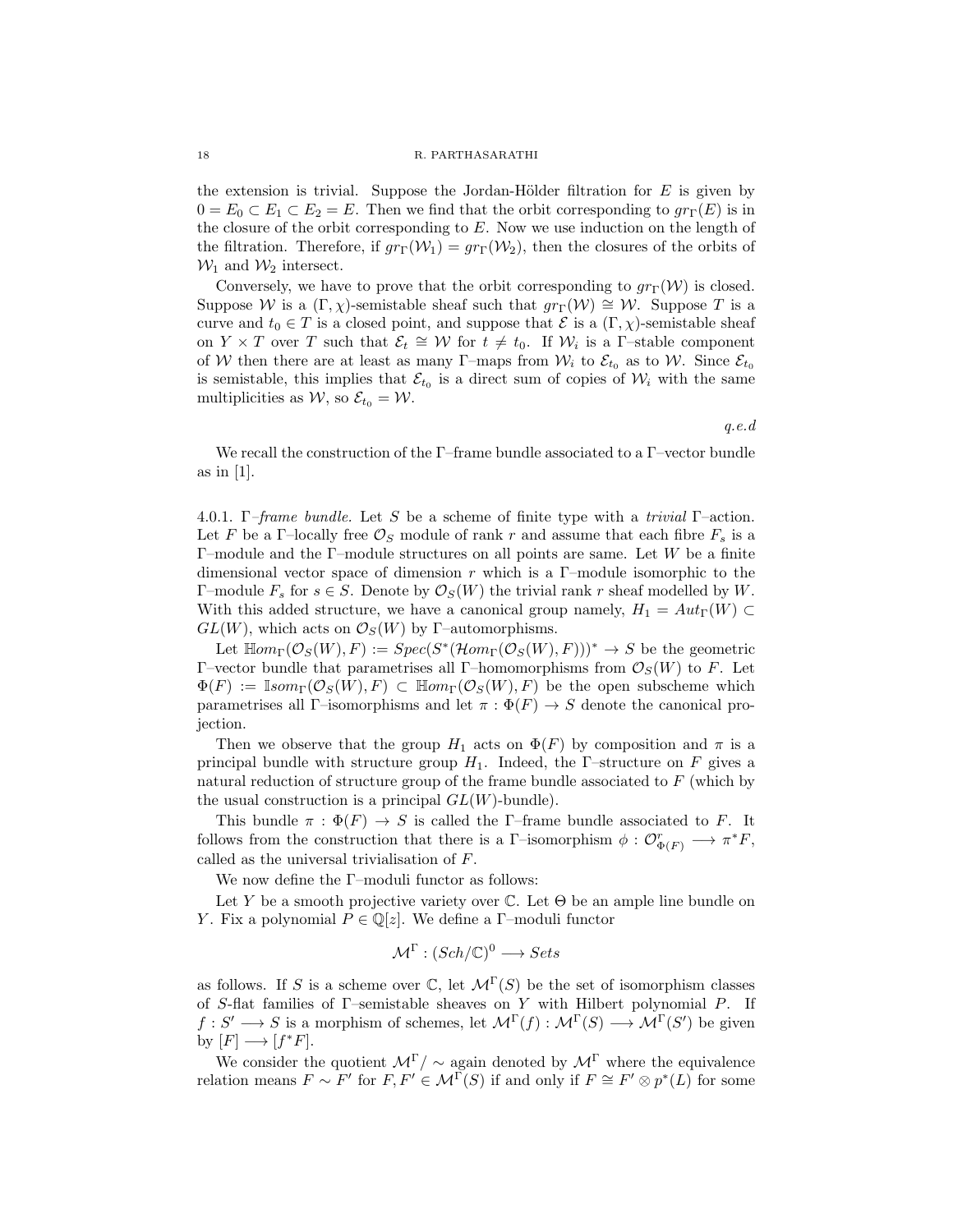the extension is trivial. Suppose the Jordan-Hölder filtration for  $E$  is given by  $0 = E_0 \subset E_1 \subset E_2 = E$ . Then we find that the orbit corresponding to  $gr_{\Gamma}(E)$  is in the closure of the orbit corresponding to  $E$ . Now we use induction on the length of the filtration. Therefore, if  $gr_{\Gamma}(\mathcal{W}_1) = gr_{\Gamma}(\mathcal{W}_2)$ , then the closures of the orbits of  $\mathcal{W}_1$  and  $\mathcal{W}_2$  intersect.

Conversely, we have to prove that the orbit corresponding to  $gr_{\Gamma}(\mathcal{W})$  is closed. Suppose W is a  $(\Gamma, \chi)$ -semistable sheaf such that  $gr_{\Gamma}(\mathcal{W}) \cong \mathcal{W}$ . Suppose T is a curve and  $t_0 \in T$  is a closed point, and suppose that  $\mathcal E$  is a  $(\Gamma, \chi)$ -semistable sheaf on  $Y \times T$  over T such that  $\mathcal{E}_t \cong W$  for  $t \neq t_0$ . If  $\mathcal{W}_i$  is a  $\Gamma$ -stable component of W then there are at least as many Γ-maps from  $\mathcal{W}_i$  to  $\mathcal{E}_{t_0}$  as to W. Since  $\mathcal{E}_{t_0}$ is semistable, this implies that  $\mathcal{E}_{t_0}$  is a direct sum of copies of  $\mathcal{W}_i$  with the same multiplicities as  $W$ , so  $\mathcal{E}_{t_0} = \mathcal{W}$ .

q.e.d

We recall the construction of the Γ–frame bundle associated to a Γ–vector bundle as in [1].

4.0.1. Γ–frame bundle. Let S be a scheme of finite type with a trivial  $\Gamma$ –action. Let F be a Γ-locally free  $\mathcal{O}_S$  module of rank r and assume that each fibre  $F_s$  is a  $\Gamma$ –module and the  $\Gamma$ –module structures on all points are same. Let W be a finite dimensional vector space of dimension r which is a  $\Gamma$ -module isomorphic to the Γ–module  $F_s$  for  $s \in S$ . Denote by  $\mathcal{O}_S(W)$  the trivial rank r sheaf modelled by W. With this added structure, we have a canonical group namely,  $H_1 = Aut_{\Gamma}(W) \subset$  $GL(W)$ , which acts on  $\mathcal{O}_S(W)$  by Γ-automorphisms.

Let  $\mathbb{H}om_{\Gamma}(\mathcal{O}_S(W), F) := Spec(S^*(\mathcal{H}om_{\Gamma}(\mathcal{O}_S(W), F)))^* \to S$  be the geometric Γ–vector bundle that parametrises all Γ–homomorphisms from  $\mathcal{O}_S(W)$  to F. Let  $\Phi(F) := \mathbb{I}som_{\Gamma}(\mathcal{O}_S(W), F) \subset \mathbb{H}om_{\Gamma}(\mathcal{O}_S(W), F)$  be the open subscheme which parametrises all Γ–isomorphisms and let  $\pi : \Phi(F) \to S$  denote the canonical projection.

Then we observe that the group  $H_1$  acts on  $\Phi(F)$  by composition and  $\pi$  is a principal bundle with structure group  $H_1$ . Indeed, the Γ–structure on F gives a natural reduction of structure group of the frame bundle associated to F (which by the usual construction is a principal  $GL(W)$ -bundle).

This bundle  $\pi : \Phi(F) \to S$  is called the Γ-frame bundle associated to F. It follows from the construction that there is a  $\Gamma$ -isomorphism  $\phi: \mathcal{O}_{\Phi(F)}^r \longrightarrow \pi^*F$ , called as the universal trivialisation of F.

We now define the Γ–moduli functor as follows:

Let Y be a smooth projective variety over  $\mathbb C$ . Let  $\Theta$  be an ample line bundle on Y. Fix a polynomial  $P \in \mathbb{Q}[z]$ . We define a Γ–moduli functor

$$
\mathcal{M}^{\Gamma} : (Sch/\mathbb{C})^0 \longrightarrow Sets
$$

as follows. If S is a scheme over  $\mathbb C$ , let  $\mathcal M^{\Gamma}(S)$  be the set of isomorphism classes of S-flat families of Γ–semistable sheaves on Y with Hilbert polynomial P. If  $f: S' \longrightarrow S$  is a morphism of schemes, let  $\mathcal{M}^{\Gamma}(f): \mathcal{M}^{\Gamma}(S) \longrightarrow \mathcal{M}^{\Gamma}(S')$  be given by  $[F] \longrightarrow [f^*F]$ .

We consider the quotient  $\mathcal{M}^{\Gamma}/\sim$  again denoted by  $\mathcal{M}^{\Gamma}$  where the equivalence relation means  $F \sim F'$  for  $F, F' \in \mathcal{M}^{\Gamma}(S)$  if and only if  $F \cong F' \otimes p^*(L)$  for some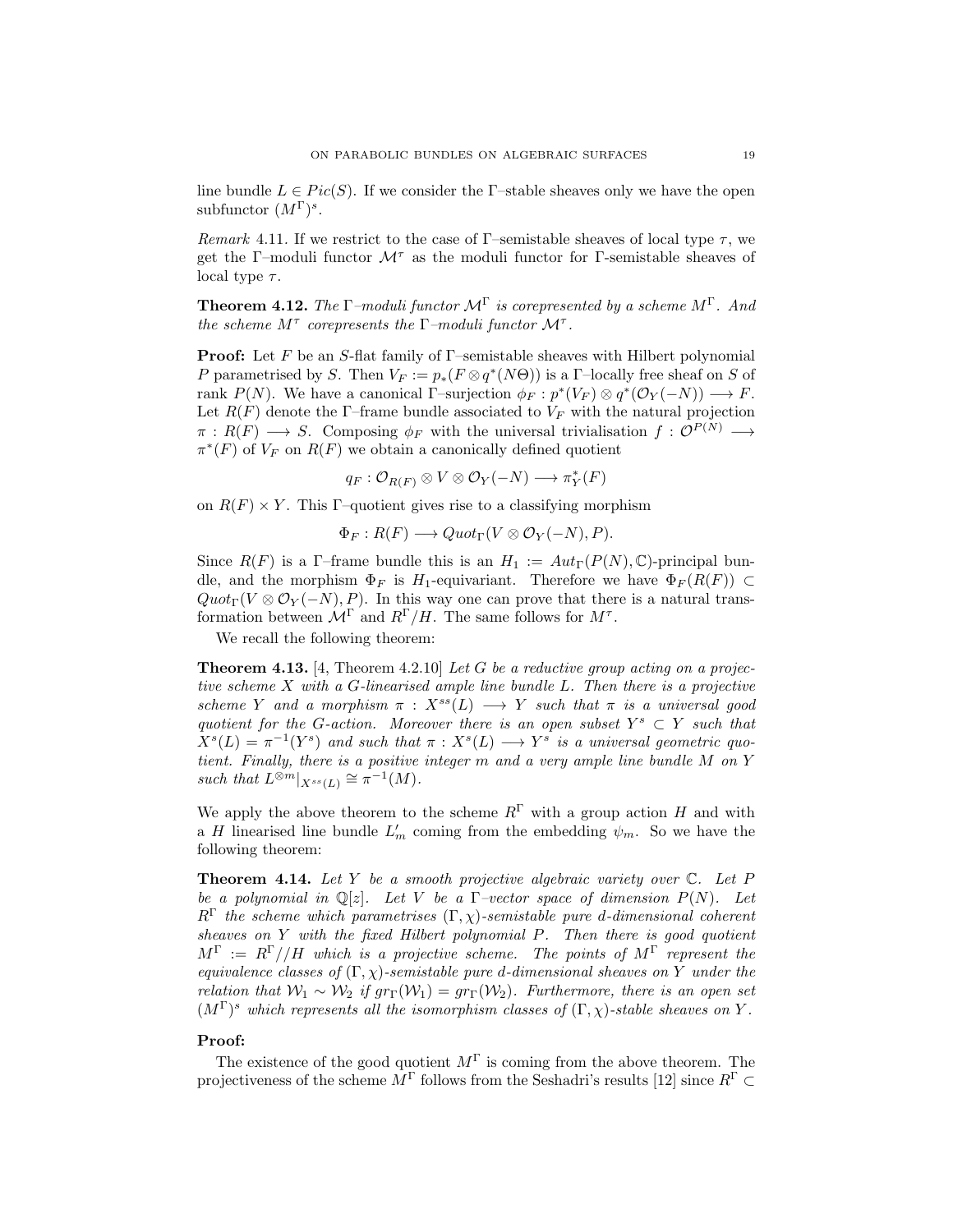line bundle  $L \in Pic(S)$ . If we consider the Γ–stable sheaves only we have the open subfunctor  $(M^{\Gamma})^s$ .

Remark 4.11. If we restrict to the case of  $\Gamma$ -semistable sheaves of local type  $\tau$ , we get the Γ–moduli functor  $\mathcal{M}^{\tau}$  as the moduli functor for Γ-semistable sheaves of local type  $\tau$ .

**Theorem 4.12.** The Γ-moduli functor  $\mathcal{M}^{\Gamma}$  is corepresented by a scheme  $M^{\Gamma}$ . And the scheme  $M^{\tau}$  corepresents the  $\Gamma$ -moduli functor  $\mathcal{M}^{\tau}$ .

**Proof:** Let F be an S-flat family of  $\Gamma$ -semistable sheaves with Hilbert polynomial P parametrised by S. Then  $V_F := p_*(F \otimes q^*(N\Theta))$  is a  $\Gamma$ -locally free sheaf on S of rank  $P(N)$ . We have a canonical  $\Gamma$ -surjection  $\phi_F : p^*(V_F) \otimes q^*(\mathcal{O}_Y(-N)) \longrightarrow F$ . Let  $R(F)$  denote the Γ–frame bundle associated to  $V_F$  with the natural projection  $\pi: R(F) \longrightarrow S$ . Composing  $\phi_F$  with the universal trivialisation  $f: \mathcal{O}^{P(N)} \longrightarrow$  $\pi^*(F)$  of  $V_F$  on  $R(F)$  we obtain a canonically defined quotient

$$
q_F: \mathcal{O}_{R(F)} \otimes V \otimes \mathcal{O}_Y(-N) \longrightarrow \pi_Y^*(F)
$$

on  $R(F) \times Y$ . This Γ-quotient gives rise to a classifying morphism

 $\Phi_F: R(F) \longrightarrow Quot_{\Gamma}(V \otimes \mathcal{O}_Y(-N), P).$ 

Since  $R(F)$  is a Γ–frame bundle this is an  $H_1 := Aut_{\Gamma}(P(N), \mathbb{C})$ -principal bundle, and the morphism  $\Phi_F$  is  $H_1$ -equivariant. Therefore we have  $\Phi_F(R(F)) \subset$  $Quot_{\Gamma}(V \otimes \mathcal{O}_Y(-N), P)$ . In this way one can prove that there is a natural transformation between  $\mathcal{M}^{\Gamma}$  and  $R^{\Gamma}/H$ . The same follows for  $M^{\tau}$ .

We recall the following theorem:

**Theorem 4.13.** [4, Theorem 4.2.10] Let G be a reductive group acting on a projective scheme X with a G-linearised ample line bundle L. Then there is a projective scheme Y and a morphism  $\pi : X^{ss}(L) \longrightarrow Y$  such that  $\pi$  is a universal good quotient for the G-action. Moreover there is an open subset  $Y^s \subset Y$  such that  $X<sup>s</sup>(L) = \pi<sup>-1</sup>(Y<sup>s</sup>)$  and such that  $\pi : X<sup>s</sup>(L) \longrightarrow Y<sup>s</sup>$  is a universal geometric quotient. Finally, there is a positive integer m and a very ample line bundle M on Y such that  $L^{\otimes m}|_{X^{ss}(L)} \cong \pi^{-1}(M)$ .

We apply the above theorem to the scheme  $R^{\Gamma}$  with a group action H and with a H linearised line bundle  $L'_m$  coming from the embedding  $\psi_m$ . So we have the following theorem:

**Theorem 4.14.** Let Y be a smooth projective algebraic variety over  $\mathbb{C}$ . Let P be a polynomial in  $\mathbb{Q}[z]$ . Let V be a  $\Gamma$ -vector space of dimension  $P(N)$ . Let  $R^{\Gamma}$  the scheme which parametrises  $(\Gamma, \chi)$ -semistable pure d-dimensional coherent sheaves on Y with the fixed Hilbert polynomial P. Then there is good quotient  $M^{\Gamma} := R^{\Gamma}/H$  which is a projective scheme. The points of  $M^{\Gamma}$  represent the equivalence classes of  $(\Gamma, \chi)$ -semistable pure d-dimensional sheaves on Y under the relation that  $W_1 \sim W_2$  if  $gr_{\Gamma}(W_1) = gr_{\Gamma}(W_2)$ . Furthermore, there is an open set  $(M^{\Gamma})^s$  which represents all the isomorphism classes of  $(\Gamma, \chi)$ -stable sheaves on Y.

### Proof:

The existence of the good quotient  $M^{\Gamma}$  is coming from the above theorem. The projectiveness of the scheme  $M^{\Gamma}$  follows from the Seshadri's results [12] since  $R^{\Gamma} \subset$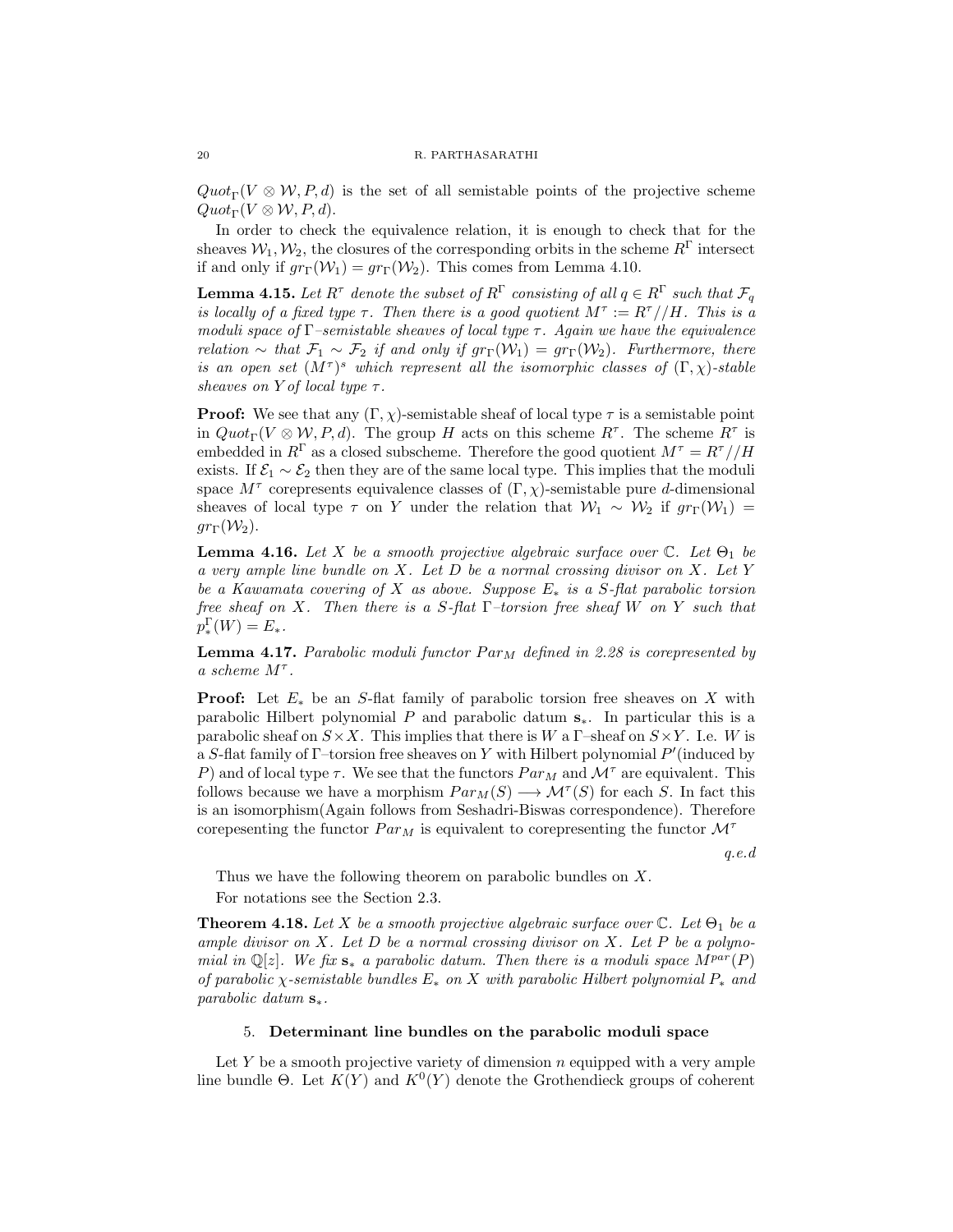$Quot<sub>\Gamma</sub>(V \otimes W, P, d)$  is the set of all semistable points of the projective scheme  $Quot_{\Gamma}(V \otimes \mathcal{W}, P, d).$ 

In order to check the equivalence relation, it is enough to check that for the sheaves  $W_1, W_2$ , the closures of the corresponding orbits in the scheme  $R^{\Gamma}$  intersect if and only if  $gr_{\Gamma}(\mathcal{W}_1) = gr_{\Gamma}(\mathcal{W}_2)$ . This comes from Lemma 4.10.

**Lemma 4.15.** Let  $R^{\tau}$  denote the subset of  $R^{\Gamma}$  consisting of all  $q \in R^{\Gamma}$  such that  $\mathcal{F}_{q}$ is locally of a fixed type  $\tau$ . Then there is a good quotient  $M^{\tau} := R^{\tau}/\sqrt{H}$ . This is a moduli space of  $\Gamma$ -semistable sheaves of local type  $\tau$ . Again we have the equivalence relation  $\sim$  that  $\mathcal{F}_1 \sim \mathcal{F}_2$  if and only if  $gr_{\Gamma}(\mathcal{W}_1) = gr_{\Gamma}(\mathcal{W}_2)$ . Furthermore, there is an open set  $(M^{\tau})^s$  which represent all the isomorphic classes of  $(\Gamma, \chi)$ -stable sheaves on Y of local type  $\tau$ .

**Proof:** We see that any  $(\Gamma, \chi)$ -semistable sheaf of local type  $\tau$  is a semistable point in  $Quot_{\Gamma}(V \otimes W, P, d)$ . The group H acts on this scheme  $R^{\tau}$ . The scheme  $R^{\tau}$  is embedded in  $R^{\Gamma}$  as a closed subscheme. Therefore the good quotient  $M^{\tau} = R^{\tau} / H$ exists. If  $\mathcal{E}_1 \sim \mathcal{E}_2$  then they are of the same local type. This implies that the moduli space  $M^{\tau}$  corepresents equivalence classes of  $(\Gamma, \chi)$ -semistable pure d-dimensional sheaves of local type  $\tau$  on Y under the relation that  $\mathcal{W}_1 \sim \mathcal{W}_2$  if  $gr_{\Gamma}(\mathcal{W}_1) =$  $gr_{\Gamma}(\mathcal{W}_2)$ .

**Lemma 4.16.** Let X be a smooth projective algebraic surface over  $\mathbb{C}$ . Let  $\Theta_1$  be a very ample line bundle on  $X$ . Let  $D$  be a normal crossing divisor on  $X$ . Let  $Y$ be a Kawamata covering of X as above. Suppose  $E_*$  is a S-flat parabolic torsion free sheaf on X. Then there is a S-flat  $\Gamma$ -torsion free sheaf W on Y such that  $p_*^{\Gamma}(W) = E_*$ .

**Lemma 4.17.** Parabolic moduli functor  $Par_M$  defined in 2.28 is corepresented by  $a$  scheme  $M^\tau.$ 

**Proof:** Let  $E_*$  be an S-flat family of parabolic torsion free sheaves on X with parabolic Hilbert polynomial P and parabolic datum  $s_{*}$ . In particular this is a parabolic sheaf on  $S \times X$ . This implies that there is W a  $\Gamma$ -sheaf on  $S \times Y$ . I.e. W is a  $S$ -flat family of  $\Gamma$ -torsion free sheaves on Y with Hilbert polynomial  $P'$  (induced by P) and of local type  $\tau$ . We see that the functors  $Par_M$  and  $\mathcal{M}^{\tau}$  are equivalent. This follows because we have a morphism  $Par_M(S) \longrightarrow \mathcal{M}^{\tau}(S)$  for each S. In fact this is an isomorphism(Again follows from Seshadri-Biswas correspondence). Therefore corepesenting the functor  $Par_M$  is equivalent to corepresenting the functor  $\mathcal{M}^{\tau}$ 

q.e.d

Thus we have the following theorem on parabolic bundles on X. For notations see the Section 2.3.

**Theorem 4.18.** Let X be a smooth projective algebraic surface over  $\mathbb{C}$ . Let  $\Theta_1$  be a ample divisor on X. Let  $D$  be a normal crossing divisor on X. Let  $P$  be a polynomial in  $\mathbb{Q}[z]$ . We fix  $s_*$  a parabolic datum. Then there is a moduli space  $M^{par}(P)$ of parabolic  $\chi$ -semistable bundles  $E_*$  on X with parabolic Hilbert polynomial  $P_*$  and parabolic datum s∗.

## 5. Determinant line bundles on the parabolic moduli space

Let Y be a smooth projective variety of dimension  $n$  equipped with a very ample line bundle  $\Theta$ . Let  $K(Y)$  and  $K^0(Y)$  denote the Grothendieck groups of coherent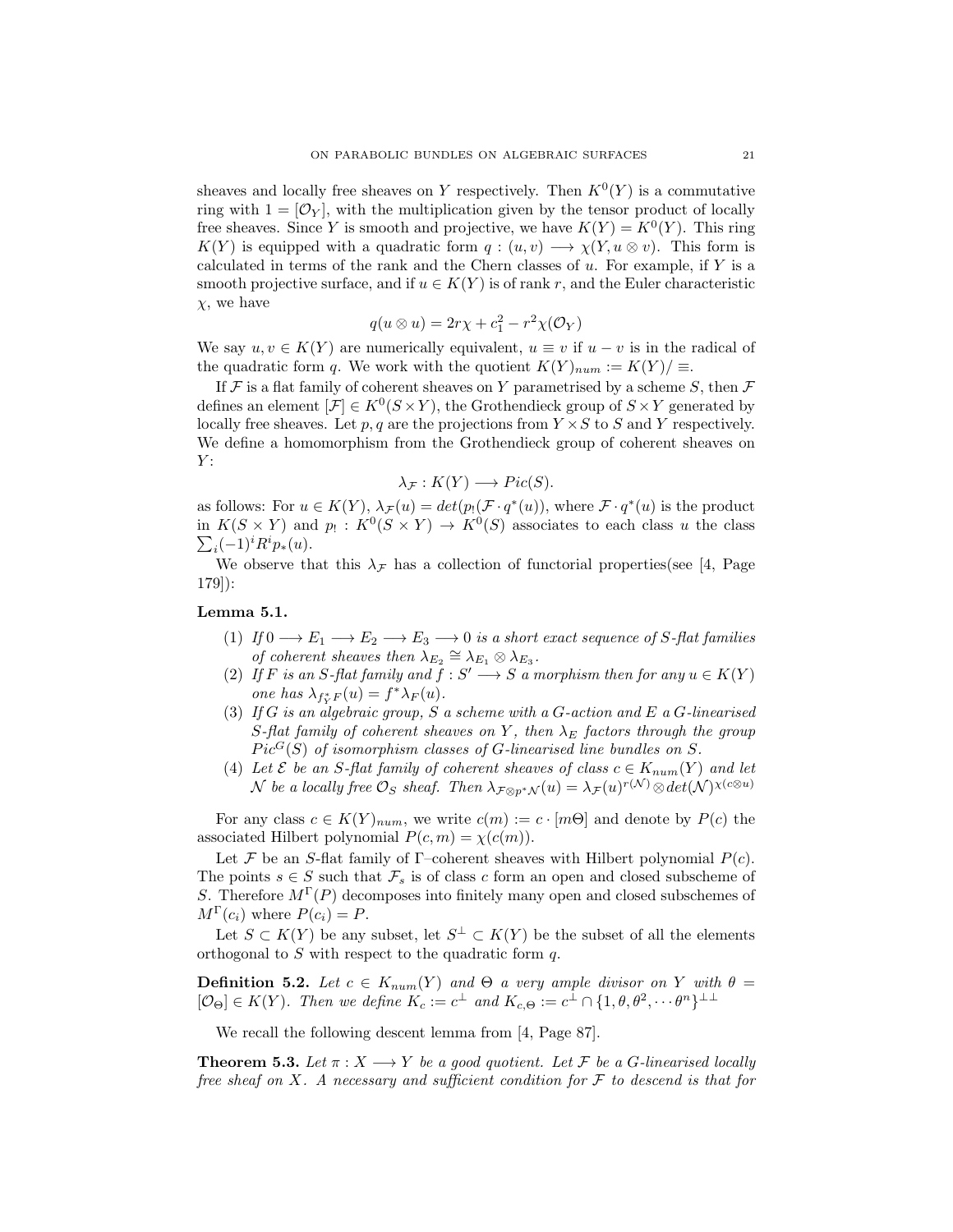sheaves and locally free sheaves on Y respectively. Then  $K^0(Y)$  is a commutative ring with  $1 = [\mathcal{O}_Y]$ , with the multiplication given by the tensor product of locally free sheaves. Since Y is smooth and projective, we have  $K(Y) = K^{0}(Y)$ . This ring  $K(Y)$  is equipped with a quadratic form  $q:(u, v) \longrightarrow \chi(Y, u \otimes v)$ . This form is calculated in terms of the rank and the Chern classes of  $u$ . For example, if Y is a smooth projective surface, and if  $u \in K(Y)$  is of rank r, and the Euler characteristic  $\chi$ , we have

$$
q(u \otimes u) = 2r\chi + c_1^2 - r^2\chi(\mathcal{O}_Y)
$$

We say  $u, v \in K(Y)$  are numerically equivalent,  $u \equiv v$  if  $u - v$  is in the radical of the quadratic form q. We work with the quotient  $K(Y)_{num} := K(Y)/\equiv$ .

If  $\mathcal F$  is a flat family of coherent sheaves on Y parametrised by a scheme S, then  $\mathcal F$ defines an element  $[\mathcal{F}] \in K^0(S \times Y)$ , the Grothendieck group of  $S \times Y$  generated by locally free sheaves. Let p, q are the projections from  $Y \times S$  to S and Y respectively. We define a homomorphism from the Grothendieck group of coherent sheaves on  $Y:$ 

$$
\lambda_{\mathcal{F}} : K(Y) \longrightarrow Pic(S).
$$

as follows: For  $u \in K(Y)$ ,  $\lambda_{\mathcal{F}}(u) = det(p_1(\mathcal{F} \cdot q^*(u))$ , where  $\mathcal{F} \cdot q^*(u)$  is the product in  $K(S \times Y)$  and  $p_! : K^0(S \times Y) \to K^0(S)$  associates to each class u the class  $\sum_i (-1)^i R^i p_*(u)$ .

We observe that this  $\lambda_{\mathcal{F}}$  has a collection of functorial properties(see [4, Page 179]):

## Lemma 5.1.

- (1) If  $0 \longrightarrow E_1 \longrightarrow E_2 \longrightarrow E_3 \longrightarrow 0$  is a short exact sequence of S-flat families of coherent sheaves then  $\lambda_{E_2} \cong \lambda_{E_1} \otimes \lambda_{E_3}$ .
- (2) If F is an S-flat family and  $f: S' \longrightarrow S$  a morphism then for any  $u \in K(Y)$ one has  $\lambda_{f_Y^*F}(u) = f^* \lambda_F(u)$ .
- (3) If G is an algebraic group, S a scheme with a G-action and E a G-linearised S-flat family of coherent sheaves on Y, then  $\lambda_E$  factors through the group  $Pic^G(S)$  of isomorphism classes of G-linearised line bundles on S.
- (4) Let  $\mathcal E$  be an S-flat family of coherent sheaves of class  $c \in K_{num}(Y)$  and let  $\mathcal N$  be a locally free  $\mathcal O_S$  sheaf. Then  $\lambda_{\mathcal F\otimes p^*\mathcal N}(u)=\lambda_{\mathcal F}(u)^{r(\mathcal N)}\otimes det(\mathcal N)^{\chi(c\otimes u)}$

For any class  $c \in K(Y)_{num}$ , we write  $c(m) := c \cdot [m\Theta]$  and denote by  $P(c)$  the associated Hilbert polynomial  $P(c, m) = \chi(c(m))$ .

Let F be an S-flat family of  $\Gamma$ -coherent sheaves with Hilbert polynomial  $P(c)$ . The points  $s \in S$  such that  $\mathcal{F}_s$  is of class c form an open and closed subscheme of S. Therefore  $M^{\Gamma}(P)$  decomposes into finitely many open and closed subschemes of  $M^{\Gamma}(c_i)$  where  $P(c_i) = P$ .

Let  $S \subset K(Y)$  be any subset, let  $S^{\perp} \subset K(Y)$  be the subset of all the elements orthogonal to  $S$  with respect to the quadratic form  $q$ .

**Definition 5.2.** Let  $c \in K_{num}(Y)$  and  $\Theta$  a very ample divisor on Y with  $\theta =$  $[O_{\Theta}] \in K(Y)$ . Then we define  $K_c := c^{\perp}$  and  $K_{c,\Theta} := c^{\perp} \cap \{1, \theta, \theta^2, \cdots \theta^n\}^{\perp \perp}$ 

We recall the following descent lemma from [4, Page 87].

**Theorem 5.3.** Let  $\pi: X \longrightarrow Y$  be a good quotient. Let F be a G-linearised locally free sheaf on X. A necessary and sufficient condition for  $\mathcal F$  to descend is that for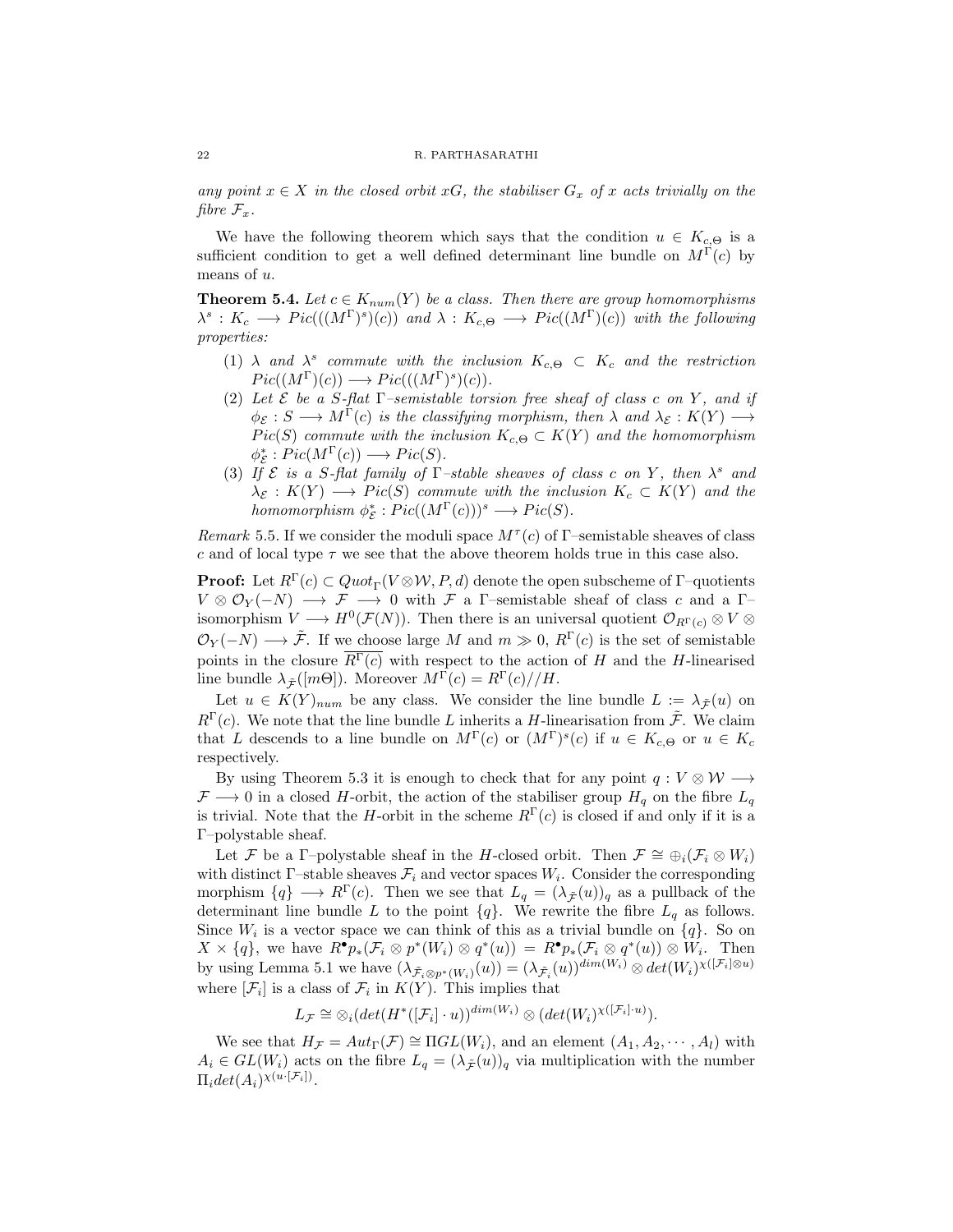any point  $x \in X$  in the closed orbit xG, the stabiliser  $G_x$  of x acts trivially on the fibre  $\mathcal{F}_x$ .

We have the following theorem which says that the condition  $u \in K_{c,\Theta}$  is a sufficient condition to get a well defined determinant line bundle on  $M^{\Gamma}(c)$  by means of u.

**Theorem 5.4.** Let  $c \in K_{num}(Y)$  be a class. Then there are group homomorphisms  $\lambda^s: K_c \longrightarrow Pic(((M^{\Gamma})^s)(c))$  and  $\lambda: K_{c,\Theta} \longrightarrow Pic((M^{\Gamma})(c))$  with the following properties:

- (1)  $\lambda$  and  $\lambda^s$  commute with the inclusion  $K_{c,\Theta} \subset K_c$  and the restriction  $Pic((M^{\Gamma})(c)) \longrightarrow Pic(((M^{\Gamma})^s)(c)).$
- (2) Let  $\mathcal E$  be a S-flat  $\Gamma$ -semistable torsion free sheaf of class c on Y, and if  $\phi_{\mathcal{E}} : S \longrightarrow M^{\Gamma}(c)$  is the classifying morphism, then  $\lambda$  and  $\lambda_{\mathcal{E}} : K(Y) \longrightarrow$  $Pic(S)$  commute with the inclusion  $K_{c,\Theta} \subset K(Y)$  and the homomorphism  $\phi_{\mathcal{E}}^* : Pic(M^{\Gamma}(c)) \longrightarrow Pic(S).$
- (3) If  $\mathcal E$  is a S-flat family of  $\Gamma$ -stable sheaves of class c on Y, then  $\lambda^s$  and  $\lambda_{\mathcal{E}}: K(Y) \longrightarrow Pic(S)$  commute with the inclusion  $K_c \subset K(Y)$  and the homomorphism  $\phi_{\mathcal{E}}^* : Pic((M^{\Gamma}(c)))^s \longrightarrow Pic(S).$

Remark 5.5. If we consider the moduli space  $M^{\tau}(c)$  of  $\Gamma$ -semistable sheaves of class c and of local type  $\tau$  we see that the above theorem holds true in this case also.

**Proof:** Let  $R^{\Gamma}(c) \subset Quot_{\Gamma}(V \otimes W, P, d)$  denote the open subscheme of  $\Gamma$ -quotients  $V \otimes \mathcal{O}_Y(-N) \longrightarrow \mathcal{F} \longrightarrow 0$  with  $\mathcal{F}$  a Γ-semistable sheaf of class c and a Γisomorphism  $V \longrightarrow H^0(\mathcal{F}(N))$ . Then there is an universal quotient  $\mathcal{O}_{R^{\Gamma}(c)} \otimes V \otimes$  $\mathcal{O}_Y(-N) \longrightarrow \tilde{\mathcal{F}}$ . If we choose large M and  $m \gg 0$ ,  $R^{\Gamma}(c)$  is the set of semistable points in the closure  $\overline{R\Gamma(c)}$  with respect to the action of H and the H-linearised line bundle  $\lambda_{\tilde{\mathcal{F}}}([m\Theta]).$  Moreover  $M^{\Gamma}(c) = R^{\Gamma}(c)/H$ .

Let  $u \in K(Y)_{num}$  be any class. We consider the line bundle  $L := \lambda_{\tilde{\mathcal{F}}}(u)$  on  $R^{\Gamma}(c)$ . We note that the line bundle L inherits a H-linearisation from  $\tilde{\mathcal{F}}$ . We claim that L descends to a line bundle on  $M^{\Gamma}(c)$  or  $(M^{\Gamma})^s(c)$  if  $u \in K_{c,\Theta}$  or  $u \in K_c$ respectively.

By using Theorem 5.3 it is enough to check that for any point  $q: V \otimes W \longrightarrow$  $\mathcal{F} \longrightarrow 0$  in a closed H-orbit, the action of the stabiliser group  $H_q$  on the fibre  $L_q$ is trivial. Note that the H-orbit in the scheme  $R^{\Gamma}(c)$  is closed if and only if it is a Γ–polystable sheaf.

Let F be a Γ–polystable sheaf in the H-closed orbit. Then  $\mathcal{F} \cong \bigoplus_i (\mathcal{F}_i \otimes W_i)$ with distinct  $\Gamma$ -stable sheaves  $\mathcal{F}_i$  and vector spaces  $W_i$ . Consider the corresponding morphism  $\{q\} \longrightarrow R^{\Gamma}(c)$ . Then we see that  $L_q = (\lambda_{\tilde{\mathcal{F}}}(u))_q$  as a pullback of the determinant line bundle L to the point  $\{q\}$ . We rewrite the fibre  $L_q$  as follows. Since  $W_i$  is a vector space we can think of this as a trivial bundle on  $\{q\}$ . So on  $X \times \{q\}$ , we have  $R^{\bullet} p_*(\mathcal{F}_i \otimes p^*(W_i) \otimes q^*(u)) = R^{\bullet} p_*(\mathcal{F}_i \otimes q^*(u)) \otimes W_i$ . Then by using Lemma 5.1 we have  $(\lambda_{\tilde{\mathcal{F}}_i \otimes p^*(W_i)}(u)) = (\lambda_{\tilde{\mathcal{F}}_i}(u))^{dim(W_i)} \otimes det(W_i)^{\chi([\mathcal{F}_i] \otimes u)}$ where  $[\mathcal{F}_i]$  is a class of  $\mathcal{F}_i$  in  $K(Y)$ . This implies that

$$
L_{\mathcal{F}} \cong \otimes_i (det(H^*([\mathcal{F}_i] \cdot u))^{dim(W_i)} \otimes (det(W_i)^{\chi([\mathcal{F}_i] \cdot u)}).
$$

We see that  $H_{\mathcal{F}} = Aut_{\Gamma}(\mathcal{F}) \cong \Pi GL(W_i)$ , and an element  $(A_1, A_2, \dots, A_l)$  with  $A_i \in GL(W_i)$  acts on the fibre  $L_q = (\lambda_{\tilde{\mathcal{F}}}(u))_q$  via multiplication with the number  $\Pi_i det(A_i)^{\chi(u\cdot[\mathcal{F}_i])}.$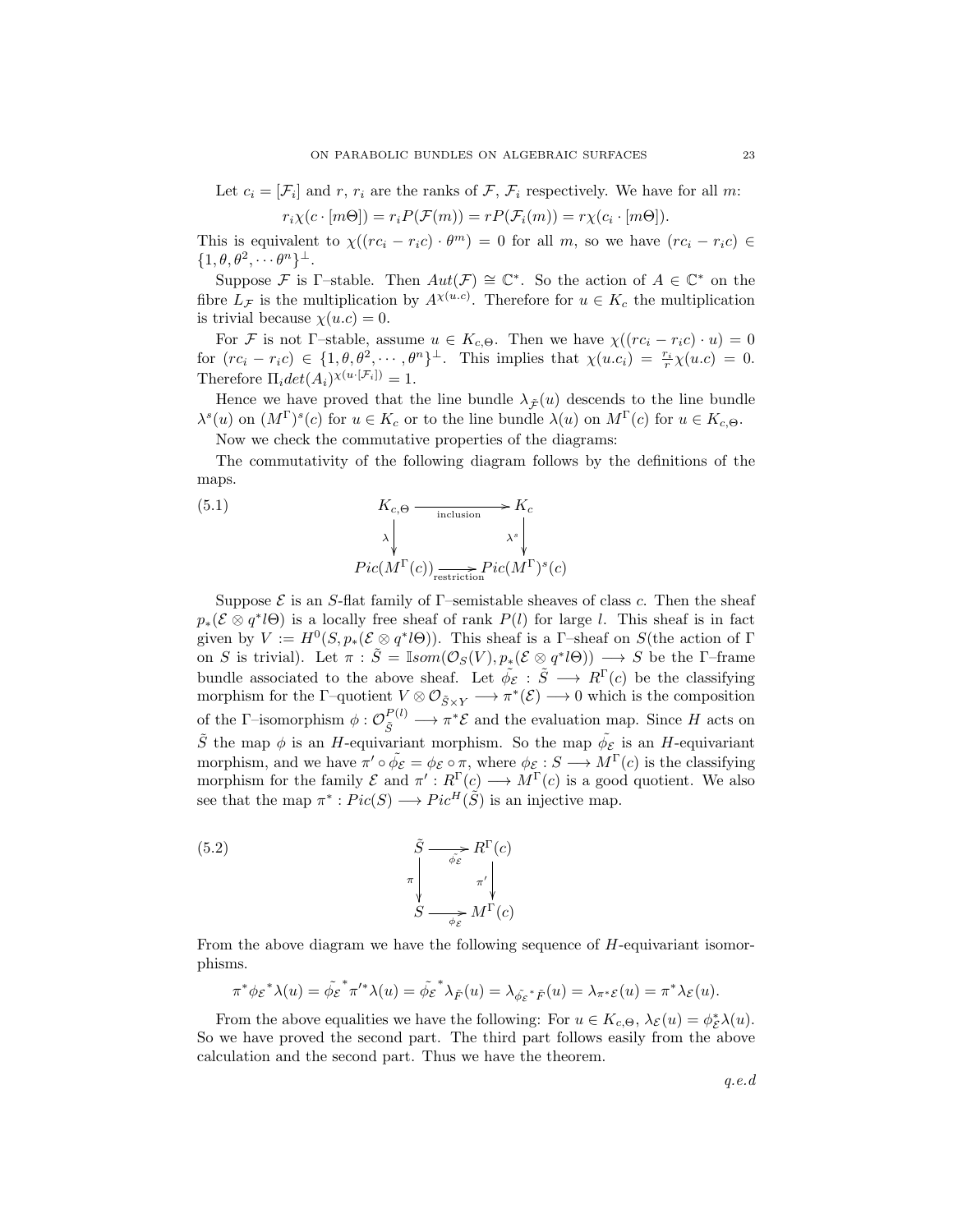Let  $c_i = [\mathcal{F}_i]$  and r,  $r_i$  are the ranks of  $\mathcal{F}, \mathcal{F}_i$  respectively. We have for all m:

$$
r_i\chi(c \cdot [m\Theta]) = r_i P(\mathcal{F}(m)) = r P(\mathcal{F}_i(m)) = r \chi(c_i \cdot [m\Theta]).
$$

This is equivalent to  $\chi((rc_i - r_i c) \cdot \theta^m) = 0$  for all m, so we have  $(rc_i - r_i c) \in$  $\{1, \theta, \theta^2, \cdots \theta^n\}^{\perp}.$ 

Suppose F is Γ–stable. Then  $Aut(\mathcal{F}) \cong \mathbb{C}^*$ . So the action of  $A \in \mathbb{C}^*$  on the fibre  $L_{\mathcal{F}}$  is the multiplication by  $A^{\chi(u.c)}$ . Therefore for  $u \in K_c$  the multiplication is trivial because  $\chi(u.c)=0$ .

For F is not Γ–stable, assume  $u \in K_{c,\Theta}$ . Then we have  $\chi((rc_i - r_i c) \cdot u) = 0$ for  $(re_i - r_ic) \in \{1, \theta, \theta^2, \cdots, \theta^n\}^{\perp}$ . This implies that  $\chi(u.c_i) = \frac{r_i}{r} \chi(u.c) = 0$ . Therefore  $\Pi_i det(A_i)^{\chi(u \cdot [\mathcal{F}_i])} = 1.$ 

Hence we have proved that the line bundle  $\lambda_{\tilde{F}}(u)$  descends to the line bundle  $\lambda^{s}(u)$  on  $(M^{\Gamma})^{s}(c)$  for  $u \in K_c$  or to the line bundle  $\lambda(u)$  on  $M^{\Gamma}(c)$  for  $u \in K_{c,\Theta}$ .

Now we check the commutative properties of the diagrams:

The commutativity of the following diagram follows by the definitions of the maps.

(5.1) 
$$
K_{c,\Theta} \xrightarrow{\text{inclusion}} K_c
$$

$$
\lambda \downarrow \qquad \lambda^s \downarrow
$$

$$
Pic(M^{\Gamma}(c))_{\text{restriction}} \longrightarrow Pic(M^{\Gamma})^s(c)
$$

Suppose  $\mathcal E$  is an S-flat family of Γ–semistable sheaves of class c. Then the sheaf  $p_*(\mathcal{E} \otimes q^* l\Theta)$  is a locally free sheaf of rank  $P(l)$  for large l. This sheaf is in fact given by  $V := H^0(S, p_*(\mathcal{E} \otimes q^* l \Theta)).$  This sheaf is a  $\Gamma$ -sheaf on  $S$ (the action of  $\Gamma$ on S is trivial). Let  $\pi$ :  $\tilde{S} = \mathbb{I}som(\mathcal{O}_S(V), p_*(\mathcal{E} \otimes q^*l\Theta)) \longrightarrow S$  be the  $\Gamma$ -frame bundle associated to the above sheaf. Let  $\tilde{\phi}_{\mathcal{E}} : \tilde{S} \longrightarrow R^{\Gamma}(c)$  be the classifying morphism for the  $\Gamma$ -quotient  $V \otimes \mathcal{O}_{\tilde{S} \times Y} \longrightarrow \pi^*(\mathcal{E}) \longrightarrow 0$  which is the composition of the Γ–isomorphism  $\phi: \mathcal{O}_{\tilde{S}}^{P(l)} \longrightarrow \pi^*\mathcal{E}$  and the evaluation map. Since H acts on  $\tilde{S}$  the map  $\phi$  is an H-equivariant morphism. So the map  $\tilde{\phi}_{\mathcal{E}}$  is an H-equivariant morphism, and we have  $\pi' \circ \tilde{\phi_{\mathcal{E}}} = \phi_{\mathcal{E}} \circ \pi$ , where  $\phi_{\mathcal{E}} : S \longrightarrow M^{\Gamma}(c)$  is the classifying morphism for the family  $\mathcal E$  and  $\pi' : R^{\Gamma}(c) \longrightarrow M^{\Gamma}(c)$  is a good quotient. We also see that the map  $\pi^*: Pic(S) \longrightarrow Pic^H(\tilde{S})$  is an injective map.

(5.2) 
$$
\begin{aligned}\n\tilde{S} &\xrightarrow{\tilde{\phi}_{\varepsilon}} R^{\Gamma}(c) \\
\pi \downarrow^{\pi'} \downarrow^{\pi'} \\
S &\xrightarrow{\tilde{\phi}_{\varepsilon}} M^{\Gamma}(c)\n\end{aligned}
$$

From the above diagram we have the following sequence of  $H$ -equivariant isomorphisms.

$$
\pi^* \phi_{\mathcal{E}}^* \lambda(u) = \tilde{\phi_{\mathcal{E}}}^* \pi'^* \lambda(u) = \tilde{\phi_{\mathcal{E}}}^* \lambda_{\tilde{F}}(u) = \lambda_{\tilde{\phi_{\mathcal{E}}}^* \tilde{F}}(u) = \lambda_{\pi^* \mathcal{E}}(u) = \pi^* \lambda_{\mathcal{E}}(u).
$$

From the above equalities we have the following: For  $u \in K_{c,\Theta}$ ,  $\lambda_{\mathcal{E}}(u) = \phi_{\mathcal{E}}^* \lambda(u)$ . So we have proved the second part. The third part follows easily from the above calculation and the second part. Thus we have the theorem.

q.e.d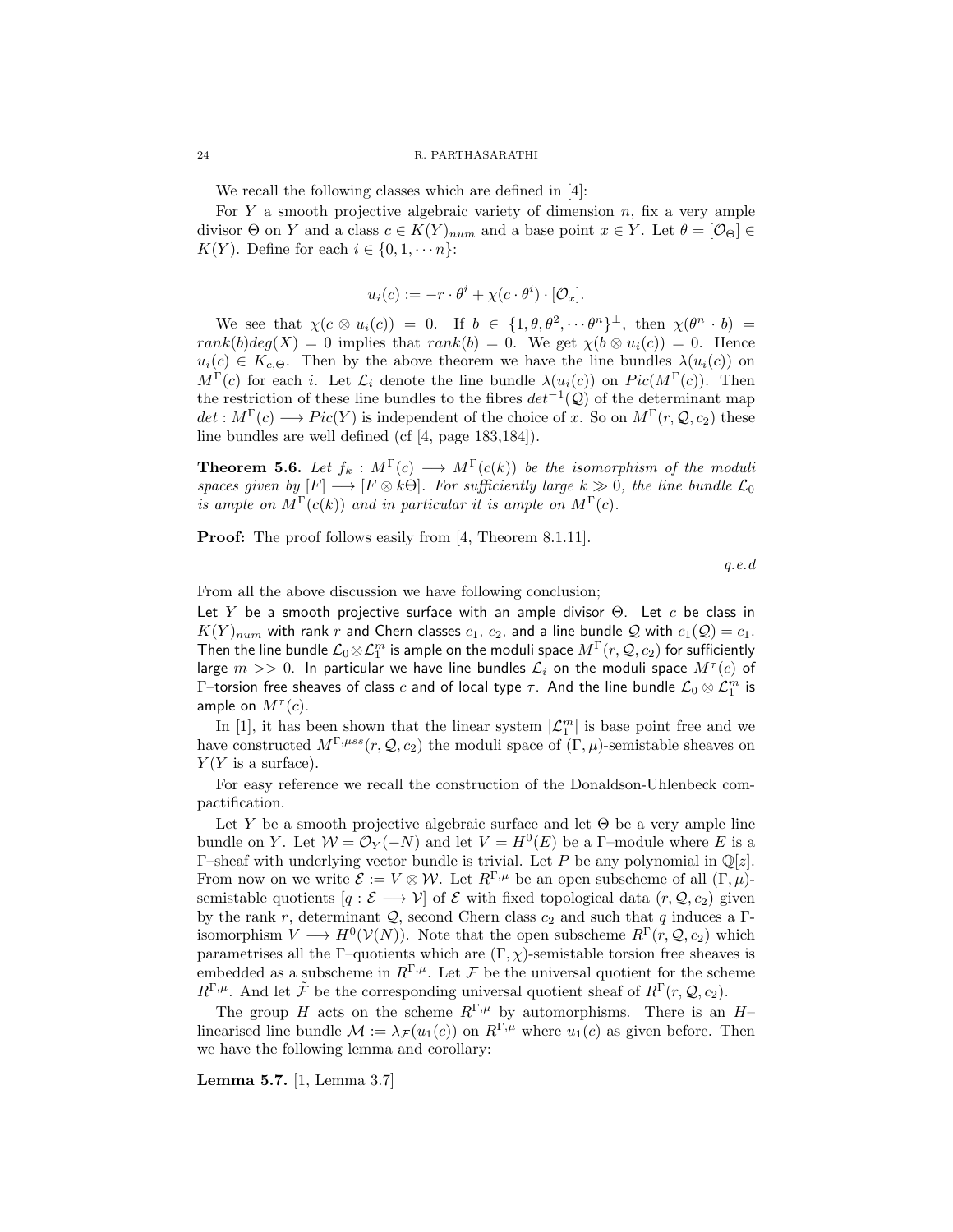#### 24 R. PARTHASARATHI

We recall the following classes which are defined in [4]:

For Y a smooth projective algebraic variety of dimension  $n$ , fix a very ample divisor  $\Theta$  on Y and a class  $c \in K(Y)_{num}$  and a base point  $x \in Y$ . Let  $\theta = [\mathcal{O}_{\Theta}] \in$  $K(Y)$ . Define for each  $i \in \{0, 1, \dots n\}$ :

$$
u_i(c) := -r \cdot \theta^i + \chi(c \cdot \theta^i) \cdot [\mathcal{O}_x].
$$

We see that  $\chi(c \otimes u_i(c)) = 0$ . If  $b \in \{1, \theta, \theta^2, \dots \theta^n\}^{\perp}$ , then  $\chi(\theta^n \cdot b) =$  $rank(b)deg(X) = 0$  implies that  $rank(b) = 0$ . We get  $\chi(b \otimes u_i(c)) = 0$ . Hence  $u_i(c) \in K_{c,\Theta}$ . Then by the above theorem we have the line bundles  $\lambda(u_i(c))$  on  $M^{\Gamma}(c)$  for each i. Let  $\mathcal{L}_i$  denote the line bundle  $\lambda(u_i(c))$  on  $Pic(M^{\Gamma}(c))$ . Then the restriction of these line bundles to the fibres  $det^{-1}(Q)$  of the determinant map  $det: M^{\Gamma}(c) \longrightarrow Pic(Y)$  is independent of the choice of x. So on  $M^{\Gamma}(r, \mathcal{Q}, c_2)$  these line bundles are well defined (cf [4, page 183,184]).

**Theorem 5.6.** Let  $f_k : M^{\Gamma}(c) \longrightarrow M^{\Gamma}(c(k))$  be the isomorphism of the moduli spaces given by  $[F] \longrightarrow [F \otimes k\Theta]$ . For sufficiently large  $k \gg 0$ , the line bundle  $\mathcal{L}_0$ is ample on  $M^{\Gamma}(c(k))$  and in particular it is ample on  $M^{\Gamma}(c)$ .

Proof: The proof follows easily from [4, Theorem 8.1.11].

q.e.d

From all the above discussion we have following conclusion;

Let Y be a smooth projective surface with an ample divisor  $\Theta$ . Let c be class in  $K(Y)_{num}$  with rank r and Chern classes  $c_1$ ,  $c_2$ , and a line bundle Q with  $c_1(Q) = c_1$ . Then the line bundle  $\mathcal{L}_0\otimes\mathcal{L}_1^m$  is ample on the moduli space  $M^\Gamma(r,\mathcal{Q},c_2)$  for sufficiently large  $m>>0.$  In particular we have line bundles  $\mathcal{L}_i$  on the moduli space  $M^\tau(c)$  of  $\Gamma$ –torsion free sheaves of class  $c$  and of local type  $\tau.$  And the line bundle  $\mathcal{L}_0\otimes\mathcal{L}_1^m$  is ample on  $M^{\tau}(c)$ .

In [1], it has been shown that the linear system  $|\mathcal{L}_1^m|$  is base point free and we have constructed  $M^{\Gamma,\mu ss}(r, \mathcal{Q}, c_2)$  the moduli space of  $(\Gamma, \mu)$ -semistable sheaves on  $Y(Y \text{ is a surface}).$ 

For easy reference we recall the construction of the Donaldson-Uhlenbeck compactification.

Let Y be a smooth projective algebraic surface and let  $\Theta$  be a very ample line bundle on Y. Let  $W = \mathcal{O}_Y(-N)$  and let  $V = H^0(E)$  be a Γ-module where E is a  $\Gamma$ -sheaf with underlying vector bundle is trivial. Let P be any polynomial in  $\mathbb{Q}[z]$ . From now on we write  $\mathcal{E} := V \otimes W$ . Let  $R^{\Gamma,\mu}$  be an open subscheme of all  $(\Gamma,\mu)$ semistable quotients  $[q : \mathcal{E} \longrightarrow \mathcal{V}]$  of  $\mathcal E$  with fixed topological data  $(r, \mathcal{Q}, c_2)$  given by the rank r, determinant  $Q$ , second Chern class  $c_2$  and such that q induces a Γisomorphism  $V \longrightarrow H^0(\mathcal{V}(N))$ . Note that the open subscheme  $R^{\Gamma}(r, \mathcal{Q}, c_2)$  which parametrises all the  $\Gamma$ -quotients which are  $(\Gamma, \chi)$ -semistable torsion free sheaves is embedded as a subscheme in  $R^{\Gamma,\mu}$ . Let F be the universal quotient for the scheme  $R^{\Gamma,\mu}$ . And let  $\tilde{\mathcal{F}}$  be the corresponding universal quotient sheaf of  $R^{\Gamma}(r, \mathcal{Q}, c_2)$ .

The group H acts on the scheme  $R^{\Gamma,\mu}$  by automorphisms. There is an H– linearised line bundle  $\mathcal{M} := \lambda_{\mathcal{F}}(u_1(c))$  on  $R^{\Gamma,\mu}$  where  $u_1(c)$  as given before. Then we have the following lemma and corollary:

Lemma 5.7. [1, Lemma 3.7]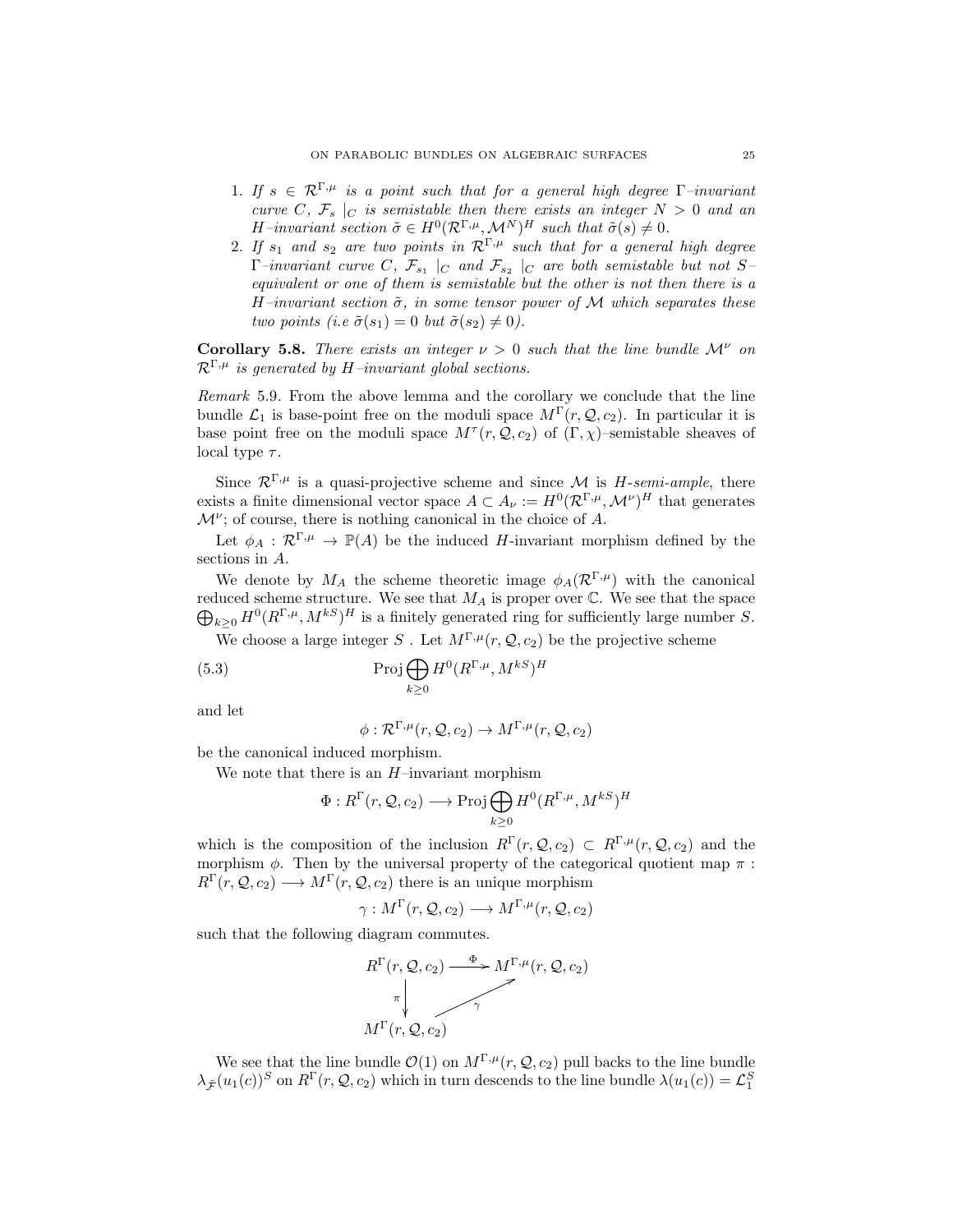- 1. If  $s \in \mathcal{R}^{\Gamma,\mu}$  is a point such that for a general high degree  $\Gamma$ -invariant curve C,  $\mathcal{F}_s$  |c is semistable then there exists an integer  $N > 0$  and an H-invariant section  $\tilde{\sigma} \in H^0(\mathcal{R}^{\Gamma,\mu},\mathcal{M}^N)^H$  such that  $\tilde{\sigma}(s) \neq 0$ .
- 2. If  $s_1$  and  $s_2$  are two points in  $\mathcal{R}^{\Gamma,\mu}$  such that for a general high degree  $\Gamma$ –invariant curve  $C,~{\cal F}_{s_1} \mid_C ~and ~{\cal F}_{s_2} \mid_C ~are~ both~ semistable~ but~ not~ S$ equivalent or one of them is semistable but the other is not then there is a H–invariant section  $\tilde{\sigma}$ , in some tensor power of M which separates these two points (i.e  $\tilde{\sigma}(s_1) = 0$  but  $\tilde{\sigma}(s_2) \neq 0$ ).

Corollary 5.8. There exists an integer  $\nu > 0$  such that the line bundle  $\mathcal{M}^{\nu}$  on  $\mathcal{R}^{\Gamma,\mu}$  is generated by H-invariant global sections.

Remark 5.9. From the above lemma and the corollary we conclude that the line bundle  $\mathcal{L}_1$  is base-point free on the moduli space  $M^{\Gamma}(r, \mathcal{Q}, c_2)$ . In particular it is base point free on the moduli space  $M^{\tau}(r, \mathcal{Q}, c_2)$  of  $(\Gamma, \chi)$ -semistable sheaves of local type  $\tau$ .

Since  $\mathcal{R}^{\Gamma,\mu}$  is a quasi-projective scheme and since M is H-semi-ample, there exists a finite dimensional vector space  $A \subset A_{\nu} := H^0(\mathcal{R}^{\Gamma,\mu}, \mathcal{M}^{\nu})^H$  that generates  $\mathcal{M}^{\nu}$ ; of course, there is nothing canonical in the choice of A.

Let  $\phi_A : \mathcal{R}^{\Gamma,\mu} \to \mathbb{P}(A)$  be the induced H-invariant morphism defined by the sections in A.

We denote by  $M_A$  the scheme theoretic image  $\phi_A(\mathcal{R}^{\Gamma,\mu})$  with the canonical reduced scheme structure. We see that  $M_A$  is proper over  $\mathbb C$ . We see that the space  $\bigoplus_{k\geq 0} H^0(R^{\Gamma,\mu}, M^{kS})^H$  is a finitely generated ring for sufficiently large number S.

We choose a large integer  $S$  . Let  $M^{\Gamma,\mu}(r,{\mathcal Q},c_2)$  be the projective scheme

(5.3) 
$$
\operatorname{Proj} \bigoplus_{k \geq 0} H^{0}(R^{\Gamma,\mu}, M^{k})^{H}
$$

and let

$$
\phi: \mathcal{R}^{\Gamma,\mu}(r,\mathcal{Q},c_2) \to M^{\Gamma,\mu}(r,\mathcal{Q},c_2)
$$

be the canonical induced morphism.

We note that there is an  $H$ –invariant morphism

$$
\Phi: R^{\Gamma}(r, \mathcal{Q}, c_2) \longrightarrow \text{Proj} \bigoplus_{k \geq 0} H^0(R^{\Gamma,\mu}, M^{kS})^H
$$

which is the composition of the inclusion  $R^{\Gamma}(r, \mathcal{Q}, c_2) \subset R^{\Gamma, \mu}(r, \mathcal{Q}, c_2)$  and the morphism  $\phi$ . Then by the universal property of the categorical quotient map  $\pi$ :  $R^{\Gamma}(r, \mathcal{Q}, c_2) \longrightarrow M^{\Gamma}(r, \mathcal{Q}, c_2)$  there is an unique morphism

$$
\gamma: M^{\Gamma}(r, \mathcal{Q}, c_2) \longrightarrow M^{\Gamma, \mu}(r, \mathcal{Q}, c_2)
$$

such that the following diagram commutes.



We see that the line bundle  $\mathcal{O}(1)$  on  $M^{\Gamma,\mu}(r,\mathcal{Q},c_2)$  pull backs to the line bundle  $\lambda_{\tilde{\mathcal{F}}}(u_1(c))^S$  on  $R^{\Gamma}(r, \mathcal{Q}, c_2)$  which in turn descends to the line bundle  $\lambda(u_1(c)) = \mathcal{L}_1^S$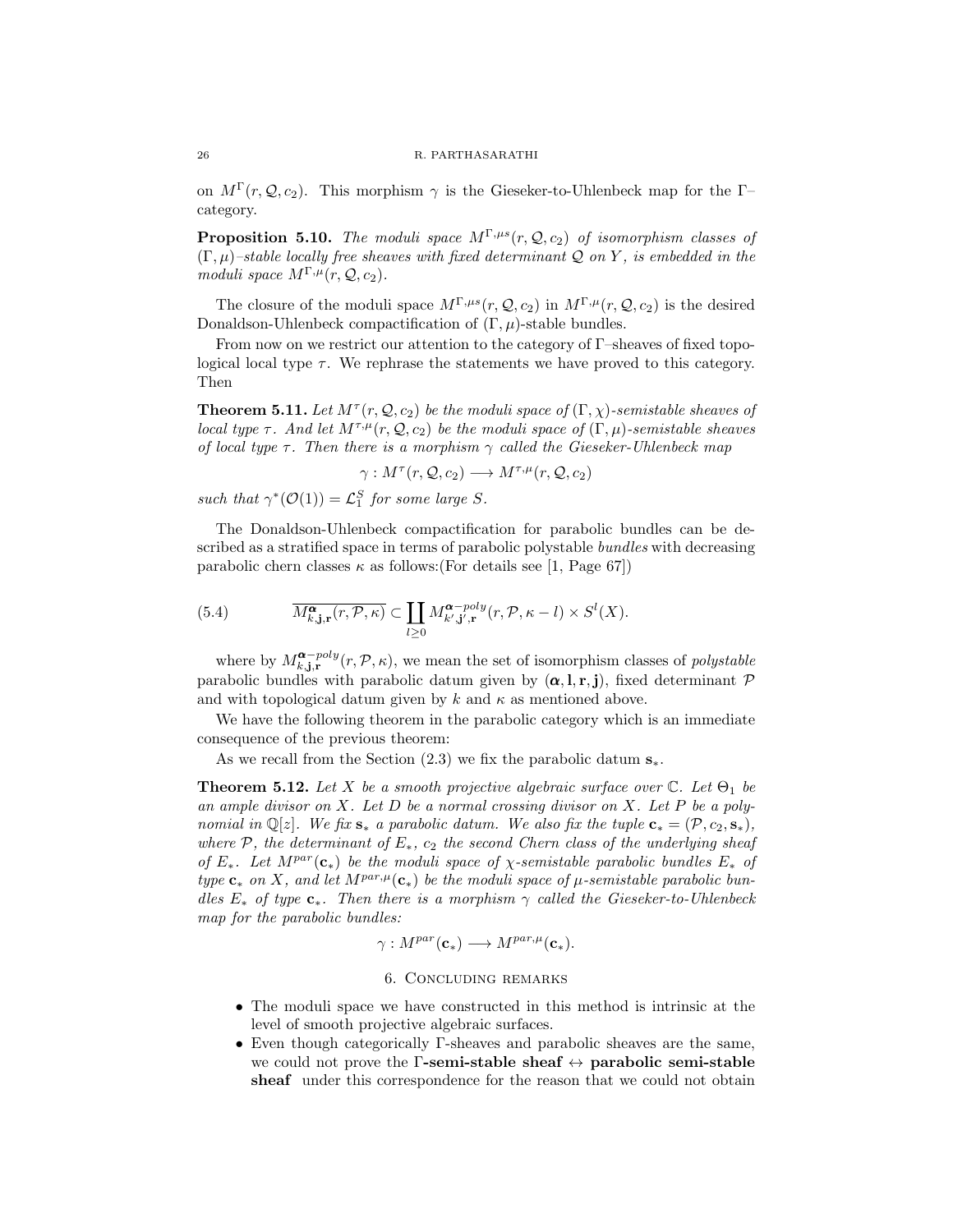on  $M^{\Gamma}(r, \mathcal{Q}, c_2)$ . This morphism  $\gamma$  is the Gieseker-to-Uhlenbeck map for the Γcategory.

**Proposition 5.10.** The moduli space  $M^{\Gamma,\mu s}(r, \mathcal{Q}, c_2)$  of isomorphism classes of  $(\Gamma, \mu)$ –stable locally free sheaves with fixed determinant Q on Y, is embedded in the moduli space  $M^{\Gamma,\mu}(r, \mathcal{Q}, c_2)$ .

The closure of the moduli space  $M^{\Gamma,\mu s}(r, \mathcal{Q}, c_2)$  in  $M^{\Gamma,\mu}(r, \mathcal{Q}, c_2)$  is the desired Donaldson-Uhlenbeck compactification of  $(\Gamma, \mu)$ -stable bundles.

From now on we restrict our attention to the category of Γ–sheaves of fixed topological local type  $\tau$ . We rephrase the statements we have proved to this category. Then

**Theorem 5.11.** Let  $M^{\tau}(r, \mathcal{Q}, c_2)$  be the moduli space of  $(\Gamma, \chi)$ -semistable sheaves of local type τ. And let  $M^{\tau,\mu}(r, \mathcal{Q}, c_2)$  be the moduli space of  $(\Gamma, \mu)$ -semistable sheaves of local type  $\tau$ . Then there is a morphism  $\gamma$  called the Gieseker-Uhlenbeck map

$$
\gamma: M^{\tau}(r, \mathcal{Q}, c_2) \longrightarrow M^{\tau, \mu}(r, \mathcal{Q}, c_2)
$$

such that  $\gamma^*(\mathcal{O}(1)) = \mathcal{L}_1^S$  for some large S.

The Donaldson-Uhlenbeck compactification for parabolic bundles can be described as a stratified space in terms of parabolic polystable *bundles* with decreasing parabolic chern classes  $\kappa$  as follows: (For details see [1, Page 67])

(5.4) 
$$
\overline{M^{\mathbf{\alpha}}_{k,\mathbf{j},\mathbf{r}}(r,\mathcal{P},\kappa)} \subset \coprod_{l\geq 0} M^{\mathbf{\alpha}-poly}_{k',\mathbf{j}',\mathbf{r}}(r,\mathcal{P},\kappa-l) \times S^l(X).
$$

where by  $M_{k,j,r}^{\alpha-poly}(r, \mathcal{P}, \kappa)$ , we mean the set of isomorphism classes of *polystable* parabolic bundles with parabolic datum given by  $(\alpha, l, r, j)$ , fixed determinant  $\mathcal P$ and with topological datum given by k and  $\kappa$  as mentioned above.

We have the following theorem in the parabolic category which is an immediate consequence of the previous theorem:

As we recall from the Section  $(2.3)$  we fix the parabolic datum  $s_{*}$ .

**Theorem 5.12.** Let X be a smooth projective algebraic surface over  $\mathbb{C}$ . Let  $\Theta_1$  be an ample divisor on  $X$ . Let  $D$  be a normal crossing divisor on  $X$ . Let  $P$  be a polynomial in  $\mathbb{Q}[z]$ . We fix  $s_*$  a parabolic datum. We also fix the tuple  $c_* = (\mathcal{P}, c_2, s_*)$ , where P, the determinant of  $E_*, c_2$  the second Chern class of the underlying sheaf of  $E_{*}$ . Let  $M^{par}(\mathbf{c}_{*})$  be the moduli space of  $\chi$ -semistable parabolic bundles  $E_{*}$  of type  $c_*$  on X, and let  $M^{par,\mu}(c_*)$  be the moduli space of  $\mu$ -semistable parabolic bundles  $E_*$  of type  $c_*$ . Then there is a morphism  $\gamma$  called the Gieseker-to-Uhlenbeck map for the parabolic bundles:

$$
\gamma: M^{par}(\mathbf{c}_*) \longrightarrow M^{par,\mu}(\mathbf{c}_*).
$$

## 6. Concluding remarks

- The moduli space we have constructed in this method is intrinsic at the level of smooth projective algebraic surfaces.
- Even though categorically Γ-sheaves and parabolic sheaves are the same, we could not prove the  $\Gamma$ -semi-stable sheaf  $\leftrightarrow$  parabolic semi-stable sheaf under this correspondence for the reason that we could not obtain